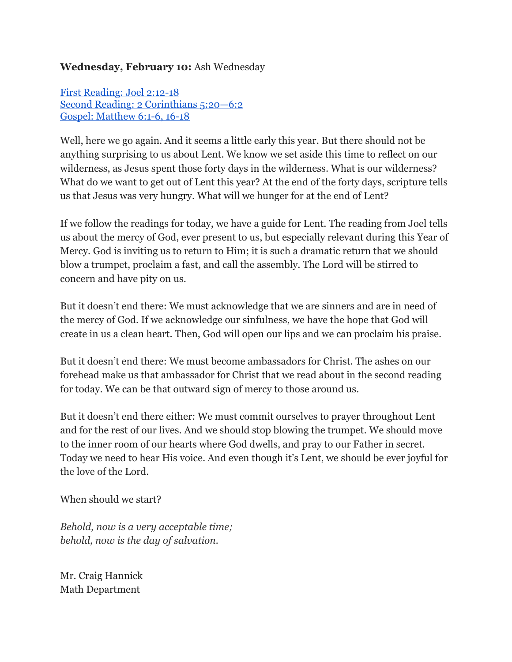## **Wednesday, February 10:** Ash Wednesday

First [Reading:](http://www.usccb.org/bible/readings/021016.cfm) Joel 2:12-18 Second Reading: 2 [Corinthians](http://www.usccb.org/bible/readings/021016.cfm) 5:20—6:2 Gospel: [Matthew](http://www.usccb.org/bible/readings/021016.cfm) 6:1-6, 16-18

Well, here we go again. And it seems a little early this year. But there should not be anything surprising to us about Lent. We know we set aside this time to reflect on our wilderness, as Jesus spent those forty days in the wilderness. What is our wilderness? What do we want to get out of Lent this year? At the end of the forty days, scripture tells us that Jesus was very hungry. What will we hunger for at the end of Lent?

If we follow the readings for today, we have a guide for Lent. The reading from Joel tells us about the mercy of God, ever present to us, but especially relevant during this Year of Mercy. God is inviting us to return to Him; it is such a dramatic return that we should blow a trumpet, proclaim a fast, and call the assembly. The Lord will be stirred to concern and have pity on us.

But it doesn't end there: We must acknowledge that we are sinners and are in need of the mercy of God. If we acknowledge our sinfulness, we have the hope that God will create in us a clean heart. Then, God will open our lips and we can proclaim his praise.

But it doesn't end there: We must become ambassadors for Christ. The ashes on our forehead make us that ambassador for Christ that we read about in the second reading for today. We can be that outward sign of mercy to those around us.

But it doesn't end there either: We must commit ourselves to prayer throughout Lent and for the rest of our lives. And we should stop blowing the trumpet. We should move to the inner room of our hearts where God dwells, and pray to our Father in secret. Today we need to hear His voice. And even though it's Lent, we should be ever joyful for the love of the Lord.

When should we start?

*Behold, now is a very acceptable time; behold, now is the day of salvation.*

Mr. Craig Hannick Math Department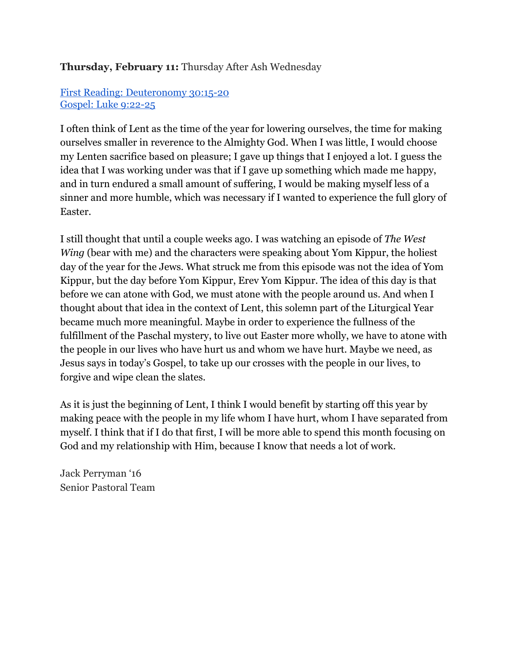# **Thursday, February 11:** Thursday After Ash Wednesday

## First Reading: [Deuteronomy](http://www.usccb.org/bible/readings/021116.cfm) 30:1520 Gospel: Luke 9:22-25

I often think of Lent as the time of the year for lowering ourselves, the time for making ourselves smaller in reverence to the Almighty God. When I was little, I would choose my Lenten sacrifice based on pleasure; I gave up things that I enjoyed a lot. I guess the idea that I was working under was that if I gave up something which made me happy, and in turn endured a small amount of suffering, I would be making myself less of a sinner and more humble, which was necessary if I wanted to experience the full glory of Easter.

I still thought that until a couple weeks ago. I was watching an episode of *The West Wing* (bear with me) and the characters were speaking about Yom Kippur, the holiest day of the year for the Jews. What struck me from this episode was not the idea of Yom Kippur, but the day before Yom Kippur, Erev Yom Kippur. The idea of this day is that before we can atone with God, we must atone with the people around us. And when I thought about that idea in the context of Lent, this solemn part of the Liturgical Year became much more meaningful. Maybe in order to experience the fullness of the fulfillment of the Paschal mystery, to live out Easter more wholly, we have to atone with the people in our lives who have hurt us and whom we have hurt. Maybe we need, as Jesus says in today's Gospel, to take up our crosses with the people in our lives, to forgive and wipe clean the slates.

As it is just the beginning of Lent, I think I would benefit by starting off this year by making peace with the people in my life whom I have hurt, whom I have separated from myself. I think that if I do that first, I will be more able to spend this month focusing on God and my relationship with Him, because I know that needs a lot of work.

Jack Perryman '16 Senior Pastoral Team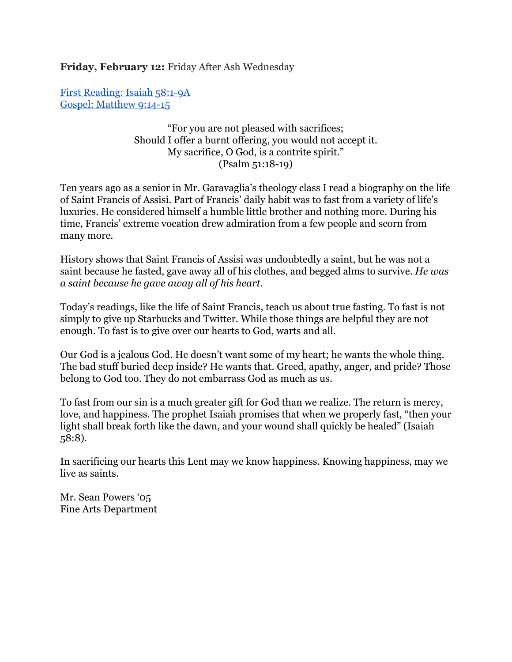**Friday, February 12:** Friday After Ash Wednesday

First [Reading:](http://www.usccb.org/bible/readings/021216.cfm) Isaiah 58:19A Gospel: [Matthew](http://www.usccb.org/bible/readings/021216.cfm) 9:14-15

> "For you are not pleased with sacrifices; Should I offer a burnt offering, you would not accept it. My sacrifice, O God, is a contrite spirit."  $(Psalm 51:18-19)$

Ten years ago as a senior in Mr. Garavaglia's theology class I read a biography on the life of Saint Francis of Assisi. Part of Francis' daily habit was to fast from a variety of life's luxuries. He considered himself a humble little brother and nothing more. During his time, Francis' extreme vocation drew admiration from a few people and scorn from many more.

History shows that Saint Francis of Assisi was undoubtedly a saint, but he was not a saint because he fasted, gave away all of his clothes, and begged alms to survive. *He was a saint because he gave away all of his heart.*

Today's readings, like the life of Saint Francis, teach us about true fasting. To fast is not simply to give up Starbucks and Twitter. While those things are helpful they are not enough. To fast is to give over our hearts to God, warts and all.

Our God is a jealous God. He doesn't want some of my heart; he wants the whole thing. The bad stuff buried deep inside? He wants that. Greed, apathy, anger, and pride? Those belong to God too. They do not embarrass God as much as us.

To fast from our sin is a much greater gift for God than we realize. The return is mercy, love, and happiness. The prophet Isaiah promises that when we properly fast, "then your light shall break forth like the dawn, and your wound shall quickly be healed" (Isaiah 58:8).

In sacrificing our hearts this Lent may we know happiness. Knowing happiness, may we live as saints.

Mr. Sean Powers '05 Fine Arts Department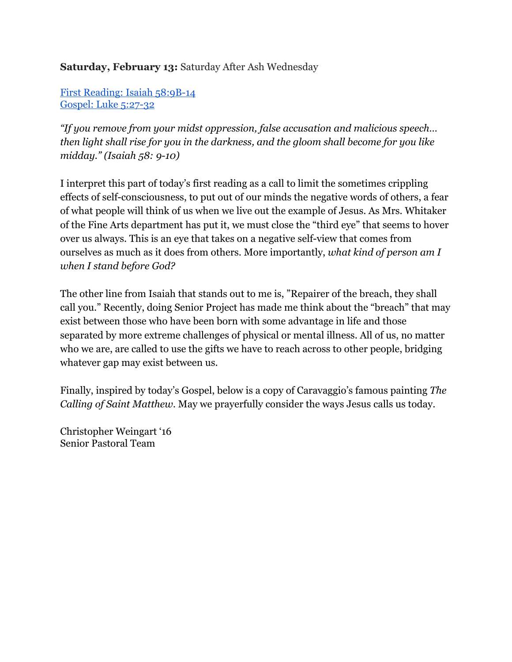# **Saturday, February 13:** Saturday After Ash Wednesday

First Reading: Isaiah 58:9B-14 Gospel: Luke 5:27-32

*"If you remove from your midst oppression, false accusation and malicious speech… then light shall rise for you in the darkness, and the gloom shall become for you like midday." (Isaiah 58: 910)*

I interpret this part of today's first reading as a call to limit the sometimes crippling effects of self-consciousness, to put out of our minds the negative words of others, a fear of what people will think of us when we live out the example of Jesus. As Mrs. Whitaker of the Fine Arts department has put it, we must close the "third eye" that seems to hover over us always. This is an eye that takes on a negative self-view that comes from ourselves as much as it does from others. More importantly, *what kind of person am I when I stand before God?*

The other line from Isaiah that stands out to me is, "Repairer of the breach, they shall call you." Recently, doing Senior Project has made me think about the "breach" that may exist between those who have been born with some advantage in life and those separated by more extreme challenges of physical or mental illness. All of us, no matter who we are, are called to use the gifts we have to reach across to other people, bridging whatever gap may exist between us.

Finally, inspired by today's Gospel, below is a copy of Caravaggio's famous painting *The Calling of Saint Matthew.* May we prayerfully consider the ways Jesus calls us today.

Christopher Weingart '16 Senior Pastoral Team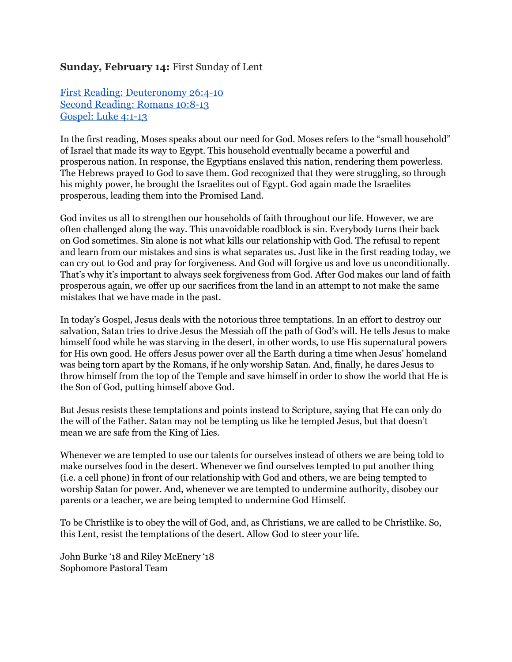### **Sunday, February 14:** First Sunday of Lent

First Reading: [Deuteronomy](http://www.usccb.org/bible/readings/021416.cfm) 26:4-10 Second [Reading:](http://www.usccb.org/bible/readings/021416.cfm) Romans 10:8-13 [Gospel:](http://www.usccb.org/bible/readings/021416.cfm) Luke 4:1-13

In the first reading, Moses speaks about our need for God. Moses refers to the "small household" of Israel that made its way to Egypt. This household eventually became a powerful and prosperous nation. In response, the Egyptians enslaved this nation, rendering them powerless. The Hebrews prayed to God to save them. God recognized that they were struggling, so through his mighty power, he brought the Israelites out of Egypt. God again made the Israelites prosperous, leading them into the Promised Land.

God invites us all to strengthen our households of faith throughout our life. However, we are often challenged along the way. This unavoidable roadblock is sin. Everybody turns their back on God sometimes. Sin alone is not what kills our relationship with God. The refusal to repent and learn from our mistakes and sins is what separates us. Just like in the first reading today, we can cry out to God and pray for forgiveness. And God will forgive us and love us unconditionally. That's why it's important to always seek forgiveness from God. After God makes our land of faith prosperous again, we offer up our sacrifices from the land in an attempt to not make the same mistakes that we have made in the past.

In today's Gospel, Jesus deals with the notorious three temptations. In an effort to destroy our salvation, Satan tries to drive Jesus the Messiah off the path of God's will. He tells Jesus to make himself food while he was starving in the desert, in other words, to use His supernatural powers for His own good. He offers Jesus power over all the Earth during a time when Jesus' homeland was being torn apart by the Romans, if he only worship Satan. And, finally, he dares Jesus to throw himself from the top of the Temple and save himself in order to show the world that He is the Son of God, putting himself above God.

But Jesus resists these temptations and points instead to Scripture, saying that He can only do the will of the Father. Satan may not be tempting us like he tempted Jesus, but that doesn't mean we are safe from the King of Lies.

Whenever we are tempted to use our talents for ourselves instead of others we are being told to make ourselves food in the desert. Whenever we find ourselves tempted to put another thing (i.e. a cell phone) in front of our relationship with God and others, we are being tempted to worship Satan for power. And, whenever we are tempted to undermine authority, disobey our parents or a teacher, we are being tempted to undermine God Himself.

To be Christlike is to obey the will of God, and, as Christians, we are called to be Christlike. So, this Lent, resist the temptations of the desert. Allow God to steer your life.

John Burke '18 and Riley McEnery '18 Sophomore Pastoral Team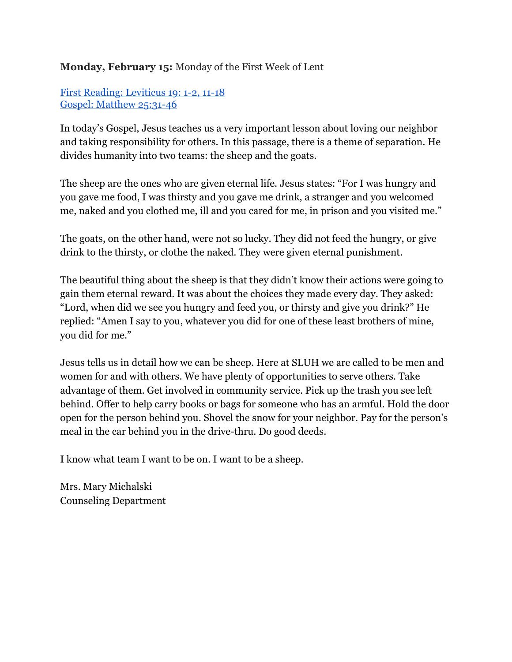# **Monday, February 15:** Monday of the First Week of Lent

First Reading: [Leviticus](http://www.usccb.org/bible/readings/021516.cfm) 19: 1-2, 11-18 Gospel: [Matthew](http://www.usccb.org/bible/readings/021516.cfm) 25:31-46

In today's Gospel, Jesus teaches us a very important lesson about loving our neighbor and taking responsibility for others. In this passage, there is a theme of separation. He divides humanity into two teams: the sheep and the goats.

The sheep are the ones who are given eternal life. Jesus states: "For I was hungry and you gave me food, I was thirsty and you gave me drink, a stranger and you welcomed me, naked and you clothed me, ill and you cared for me, in prison and you visited me."

The goats, on the other hand, were not so lucky. They did not feed the hungry, or give drink to the thirsty, or clothe the naked. They were given eternal punishment.

The beautiful thing about the sheep is that they didn't know their actions were going to gain them eternal reward. It was about the choices they made every day. They asked: "Lord, when did we see you hungry and feed you, or thirsty and give you drink?" He replied: "Amen I say to you, whatever you did for one of these least brothers of mine, you did for me."

Jesus tells us in detail how we can be sheep. Here at SLUH we are called to be men and women for and with others. We have plenty of opportunities to serve others. Take advantage of them. Get involved in community service. Pick up the trash you see left behind. Offer to help carry books or bags for someone who has an armful. Hold the door open for the person behind you. Shovel the snow for your neighbor. Pay for the person's meal in the car behind you in the drive-thru. Do good deeds.

I know what team I want to be on. I want to be a sheep.

Mrs. Mary Michalski Counseling Department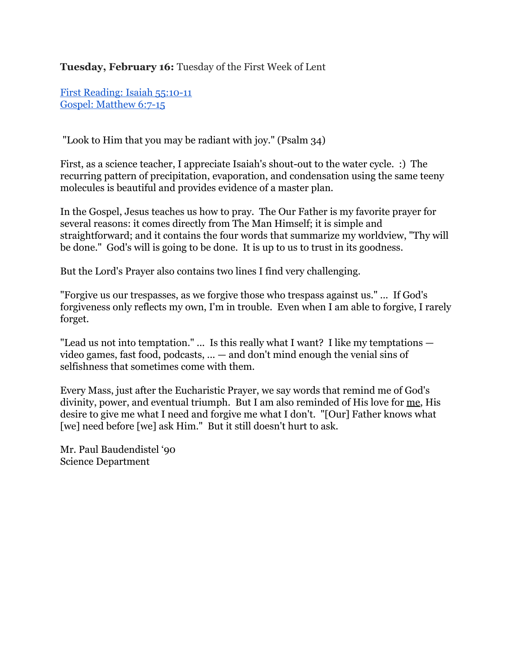**Tuesday, February 16:** Tuesday of the First Week of Lent

First [Reading:](http://www.usccb.org/bible/readings/021616.cfm) Isaiah 55:10-11 Gospel: [Matthew](http://www.usccb.org/bible/readings/021616.cfm) 6:7-15

"Look to Him that you may be radiant with joy." (Psalm 34)

First, as a science teacher, I appreciate Isaiah's shout-out to the water cycle. : The recurring pattern of precipitation, evaporation, and condensation using the same teeny molecules is beautiful and provides evidence of a master plan.

In the Gospel, Jesus teaches us how to pray. The Our Father is my favorite prayer for several reasons: it comes directly from The Man Himself; it is simple and straightforward; and it contains the four words that summarize my worldview, "Thy will be done." God's will is going to be done. It is up to us to trust in its goodness.

But the Lord's Prayer also contains two lines I find very challenging.

"Forgive us our trespasses, as we forgive those who trespass against us." ... If God's forgiveness only reflects my own, I'm in trouble. Even when I am able to forgive, I rarely forget.

"Lead us not into temptation." ... Is this really what I want? I like my temptations video games, fast food, podcasts, ... — and don't mind enough the venial sins of selfishness that sometimes come with them.

Every Mass, just after the Eucharistic Prayer, we say words that remind me of God's divinity, power, and eventual triumph. But I am also reminded of His love for me, His desire to give me what I need and forgive me what I don't. "[Our] Father knows what [we] need before [we] ask Him." But it still doesn't hurt to ask.

Mr. Paul Baudendistel '90 Science Department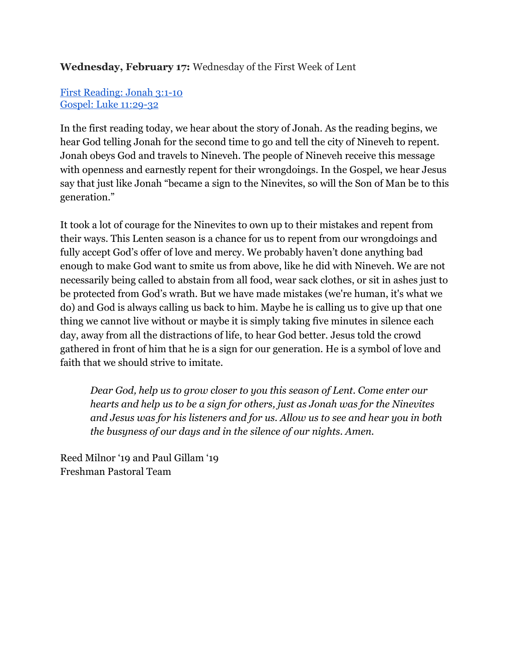# **Wednesday, February 17:** Wednesday of the First Week of Lent

## First [Reading:](http://www.usccb.org/bible/readings/021716.cfm) Jonah 3:1-10 Gospel: Luke 11:29-32

In the first reading today, we hear about the story of Jonah. As the reading begins, we hear God telling Jonah for the second time to go and tell the city of Nineveh to repent. Jonah obeys God and travels to Nineveh. The people of Nineveh receive this message with openness and earnestly repent for their wrongdoings. In the Gospel, we hear Jesus say that just like Jonah "became a sign to the Ninevites, so will the Son of Man be to this generation."

It took a lot of courage for the Ninevites to own up to their mistakes and repent from their ways. This Lenten season is a chance for us to repent from our wrongdoings and fully accept God's offer of love and mercy. We probably haven't done anything bad enough to make God want to smite us from above, like he did with Nineveh. We are not necessarily being called to abstain from all food, wear sack clothes, or sit in ashes just to be protected from God's wrath. But we have made mistakes (we're human, it's what we do) and God is always calling us back to him. Maybe he is calling us to give up that one thing we cannot live without or maybe it is simply taking five minutes in silence each day, away from all the distractions of life, to hear God better. Jesus told the crowd gathered in front of him that he is a sign for our generation. He is a symbol of love and faith that we should strive to imitate.

*Dear God, help us to grow closer to you this season of Lent. Come enter our hearts and help us to be a sign for others, just as Jonah was for the Ninevites and Jesus was for his listeners and for us. Allow us to see and hear you in both the busyness of our days and in the silence of our nights. Amen.*

Reed Milnor '19 and Paul Gillam '19 Freshman Pastoral Team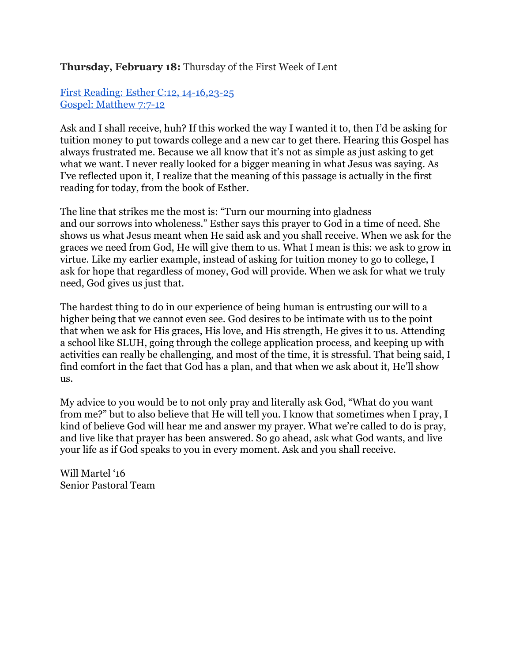### **Thursday, February 18:** Thursday of the First Week of Lent

First Reading: Esther C:12, 14-16, 23-25 Gospel: [Matthew](http://www.usccb.org/bible/readings/021816.cfm) 7:7-12

Ask and I shall receive, huh? If this worked the way I wanted it to, then I'd be asking for tuition money to put towards college and a new car to get there. Hearing this Gospel has always frustrated me. Because we all know that it's not as simple as just asking to get what we want. I never really looked for a bigger meaning in what Jesus was saying. As I've reflected upon it, I realize that the meaning of this passage is actually in the first reading for today, from the book of Esther.

The line that strikes me the most is: "Turn our mourning into gladness and our sorrows into wholeness." Esther says this prayer to God in a time of need. She shows us what Jesus meant when He said ask and you shall receive. When we ask for the graces we need from God, He will give them to us. What I mean is this: we ask to grow in virtue. Like my earlier example, instead of asking for tuition money to go to college, I ask for hope that regardless of money, God will provide. When we ask for what we truly need, God gives us just that.

The hardest thing to do in our experience of being human is entrusting our will to a higher being that we cannot even see. God desires to be intimate with us to the point that when we ask for His graces, His love, and His strength, He gives it to us. Attending a school like SLUH, going through the college application process, and keeping up with activities can really be challenging, and most of the time, it is stressful. That being said, I find comfort in the fact that God has a plan, and that when we ask about it, He'll show us.

My advice to you would be to not only pray and literally ask God, "What do you want from me?" but to also believe that He will tell you. I know that sometimes when I pray, I kind of believe God will hear me and answer my prayer. What we're called to do is pray, and live like that prayer has been answered. So go ahead, ask what God wants, and live your life as if God speaks to you in every moment. Ask and you shall receive.

Will Martel '16 Senior Pastoral Team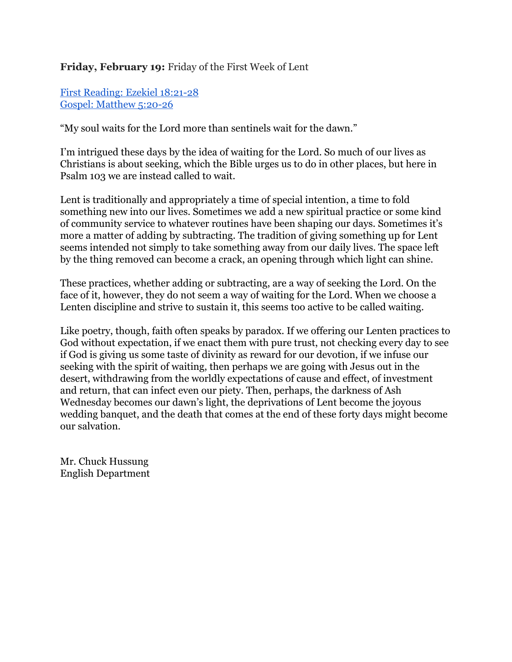## **Friday, February 19:** Friday of the First Week of Lent

First [Reading:](http://www.usccb.org/bible/readings/021916.cfm) Ezekiel 18:21-28 Gospel: [Matthew](http://www.usccb.org/bible/readings/021916.cfm) 5:20-26

"My soul waits for the Lord more than sentinels wait for the dawn."

I'm intrigued these days by the idea of waiting for the Lord. So much of our lives as Christians is about seeking, which the Bible urges us to do in other places, but here in Psalm 103 we are instead called to wait.

Lent is traditionally and appropriately a time of special intention, a time to fold something new into our lives. Sometimes we add a new spiritual practice or some kind of community service to whatever routines have been shaping our days. Sometimes it's more a matter of adding by subtracting. The tradition of giving something up for Lent seems intended not simply to take something away from our daily lives. The space left by the thing removed can become a crack, an opening through which light can shine.

These practices, whether adding or subtracting, are a way of seeking the Lord. On the face of it, however, they do not seem a way of waiting for the Lord. When we choose a Lenten discipline and strive to sustain it, this seems too active to be called waiting.

Like poetry, though, faith often speaks by paradox. If we offering our Lenten practices to God without expectation, if we enact them with pure trust, not checking every day to see if God is giving us some taste of divinity as reward for our devotion, if we infuse our seeking with the spirit of waiting, then perhaps we are going with Jesus out in the desert, withdrawing from the worldly expectations of cause and effect, of investment and return, that can infect even our piety. Then, perhaps, the darkness of Ash Wednesday becomes our dawn's light, the deprivations of Lent become the joyous wedding banquet, and the death that comes at the end of these forty days might become our salvation.

Mr. Chuck Hussung English Department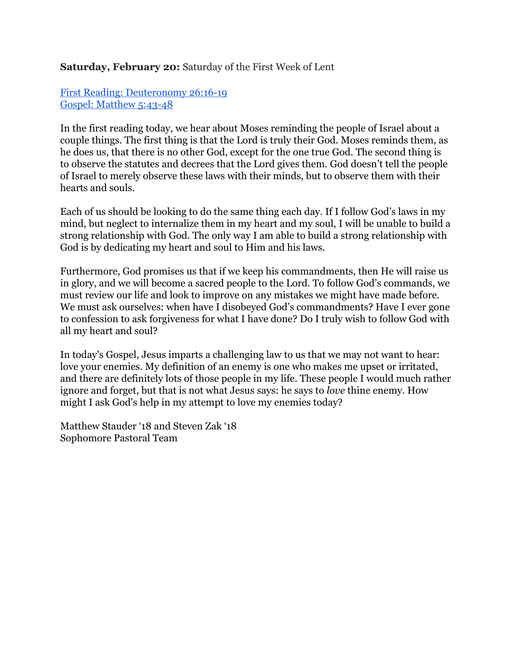### **Saturday, February 20:** Saturday of the First Week of Lent

## First Reading: [Deuteronomy](http://www.usccb.org/bible/readings/022016.cfm) 26:1619 Gospel: [Matthew](http://www.usccb.org/bible/readings/022016.cfm) 5:43-48

In the first reading today, we hear about Moses reminding the people of Israel about a couple things. The first thing is that the Lord is truly their God. Moses reminds them, as he does us, that there is no other God, except for the one true God. The second thing is to observe the statutes and decrees that the Lord gives them. God doesn't tell the people of Israel to merely observe these laws with their minds, but to observe them with their hearts and souls.

Each of us should be looking to do the same thing each day. If I follow God's laws in my mind, but neglect to internalize them in my heart and my soul, I will be unable to build a strong relationship with God. The only way I am able to build a strong relationship with God is by dedicating my heart and soul to Him and his laws.

Furthermore, God promises us that if we keep his commandments, then He will raise us in glory, and we will become a sacred people to the Lord. To follow God's commands, we must review our life and look to improve on any mistakes we might have made before. We must ask ourselves: when have I disobeyed God's commandments? Have I ever gone to confession to ask forgiveness for what I have done? Do I truly wish to follow God with all my heart and soul?

In today's Gospel, Jesus imparts a challenging law to us that we may not want to hear: love your enemies. My definition of an enemy is one who makes me upset or irritated, and there are definitely lots of those people in my life. These people I would much rather ignore and forget, but that is not what Jesus says: he says to *love* thine enemy. How might I ask God's help in my attempt to love my enemies today?

Matthew Stauder '18 and Steven Zak '18 Sophomore Pastoral Team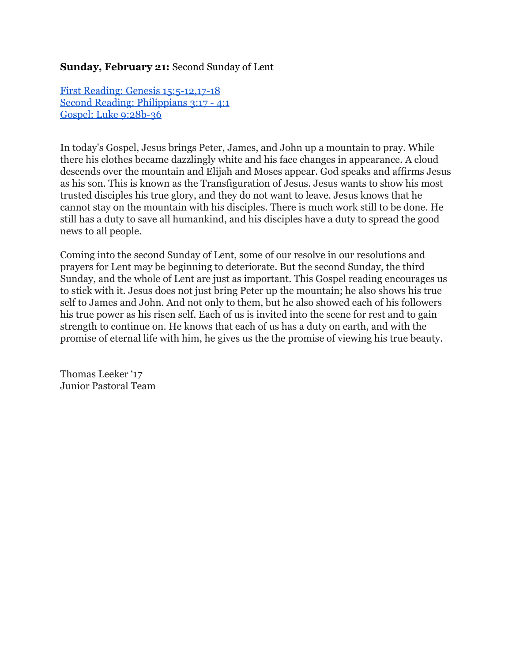### **Sunday, February 21:** Second Sunday of Lent

**First Reading: Genesis 15:5-12,17-18** Second Reading: [Philippians](http://www.usccb.org/bible/readings/022116.cfm) 3:17 - 4:1 Gospel: Luke 9:28b-36

In today's Gospel, Jesus brings Peter, James, and John up a mountain to pray. While there his clothes became dazzlingly white and his face changes in appearance. A cloud descends over the mountain and Elijah and Moses appear. God speaks and affirms Jesus as his son. This is known as the Transfiguration of Jesus. Jesus wants to show his most trusted disciples his true glory, and they do not want to leave. Jesus knows that he cannot stay on the mountain with his disciples. There is much work still to be done. He still has a duty to save all humankind, and his disciples have a duty to spread the good news to all people.

Coming into the second Sunday of Lent, some of our resolve in our resolutions and prayers for Lent may be beginning to deteriorate. But the second Sunday, the third Sunday, and the whole of Lent are just as important. This Gospel reading encourages us to stick with it. Jesus does not just bring Peter up the mountain; he also shows his true self to James and John. And not only to them, but he also showed each of his followers his true power as his risen self. Each of us is invited into the scene for rest and to gain strength to continue on. He knows that each of us has a duty on earth, and with the promise of eternal life with him, he gives us the the promise of viewing his true beauty.

Thomas Leeker '17 Junior Pastoral Team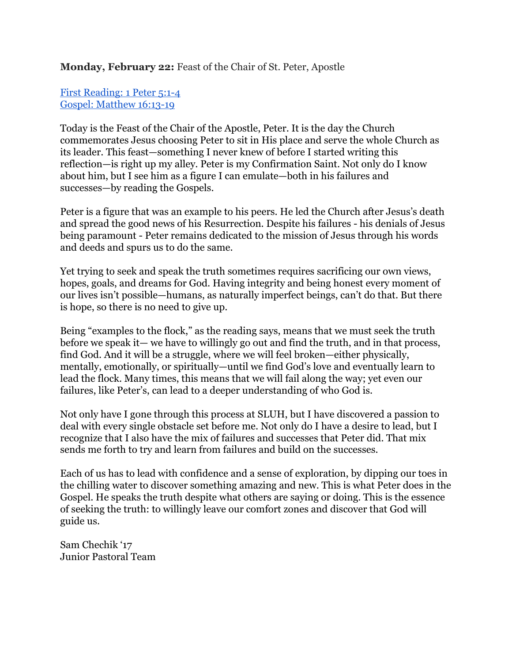#### **Monday, February 22:** Feast of the Chair of St. Peter, Apostle

### First [Reading:](http://www.usccb.org/bible/readings/022216.cfm) 1 Peter 5:1-4 Gospel: [Matthew](http://www.usccb.org/bible/readings/022216.cfm) 16:13-19

Today is the Feast of the Chair of the Apostle, Peter. It is the day the Church commemorates Jesus choosing Peter to sit in His place and serve the whole Church as its leader. This feast—something I never knew of before I started writing this reflection—is right up my alley. Peter is my Confirmation Saint. Not only do I know about him, but I see him as a figure I can emulate—both in his failures and successes—by reading the Gospels.

Peter is a figure that was an example to his peers. He led the Church after Jesus's death and spread the good news of his Resurrection. Despite his failures - his denials of Jesus being paramount Peter remains dedicated to the mission of Jesus through his words and deeds and spurs us to do the same.

Yet trying to seek and speak the truth sometimes requires sacrificing our own views, hopes, goals, and dreams for God. Having integrity and being honest every moment of our lives isn't possible—humans, as naturally imperfect beings, can't do that. But there is hope, so there is no need to give up.

Being "examples to the flock," as the reading says, means that we must seek the truth before we speak it— we have to willingly go out and find the truth, and in that process, find God. And it will be a struggle, where we will feel broken—either physically, mentally, emotionally, or spiritually—until we find God's love and eventually learn to lead the flock. Many times, this means that we will fail along the way; yet even our failures, like Peter's, can lead to a deeper understanding of who God is.

Not only have I gone through this process at SLUH, but I have discovered a passion to deal with every single obstacle set before me. Not only do I have a desire to lead, but I recognize that I also have the mix of failures and successes that Peter did. That mix sends me forth to try and learn from failures and build on the successes.

Each of us has to lead with confidence and a sense of exploration, by dipping our toes in the chilling water to discover something amazing and new. This is what Peter does in the Gospel. He speaks the truth despite what others are saying or doing. This is the essence of seeking the truth: to willingly leave our comfort zones and discover that God will guide us.

Sam Chechik '17 Junior Pastoral Team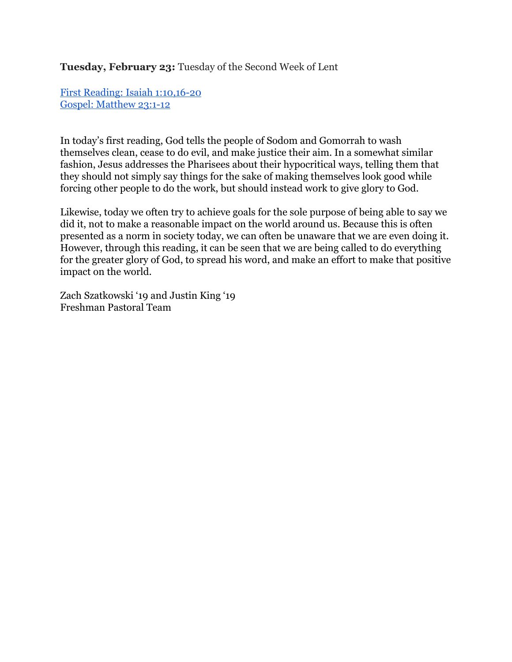**Tuesday, February 23:** Tuesday of the Second Week of Lent

First Reading: Isaiah [1:10,1620](http://www.usccb.org/bible/readings/022316.cfm) Gospel: [Matthew](http://www.usccb.org/bible/readings/022316.cfm) 23:1-12

In today's first reading, God tells the people of Sodom and Gomorrah to wash themselves clean, cease to do evil, and make justice their aim. In a somewhat similar fashion, Jesus addresses the Pharisees about their hypocritical ways, telling them that they should not simply say things for the sake of making themselves look good while forcing other people to do the work, but should instead work to give glory to God.

Likewise, today we often try to achieve goals for the sole purpose of being able to say we did it, not to make a reasonable impact on the world around us. Because this is often presented as a norm in society today, we can often be unaware that we are even doing it. However, through this reading, it can be seen that we are being called to do everything for the greater glory of God, to spread his word, and make an effort to make that positive impact on the world.

Zach Szatkowski '19 and Justin King '19 Freshman Pastoral Team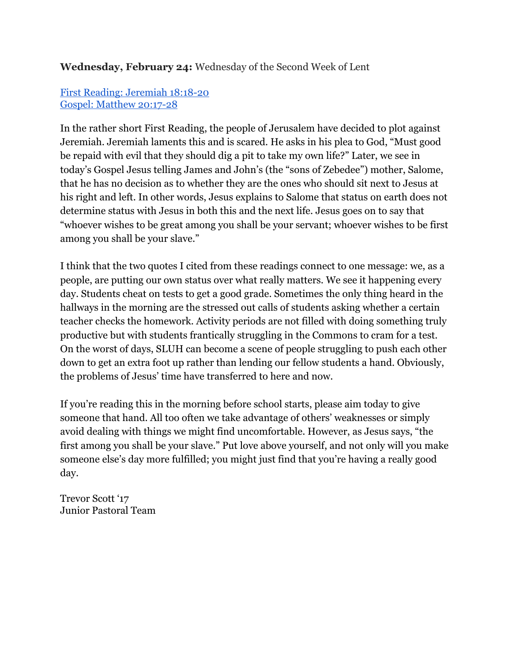# **Wednesday, February 24:** Wednesday of the Second Week of Lent

## First Reading: [Jeremiah](http://www.usccb.org/bible/readings/022416.cfm) 18:18-20 Gospel: Matthew 20:17-28

In the rather short First Reading, the people of Jerusalem have decided to plot against Jeremiah. Jeremiah laments this and is scared. He asks in his plea to God, "Must good be repaid with evil that they should dig a pit to take my own life?" Later, we see in today's Gospel Jesus telling James and John's (the "sons of Zebedee") mother, Salome, that he has no decision as to whether they are the ones who should sit next to Jesus at his right and left. In other words, Jesus explains to Salome that status on earth does not determine status with Jesus in both this and the next life. Jesus goes on to say that "whoever wishes to be great among you shall be your servant; whoever wishes to be first among you shall be your slave."

I think that the two quotes I cited from these readings connect to one message: we, as a people, are putting our own status over what really matters. We see it happening every day. Students cheat on tests to get a good grade. Sometimes the only thing heard in the hallways in the morning are the stressed out calls of students asking whether a certain teacher checks the homework. Activity periods are not filled with doing something truly productive but with students frantically struggling in the Commons to cram for a test. On the worst of days, SLUH can become a scene of people struggling to push each other down to get an extra foot up rather than lending our fellow students a hand. Obviously, the problems of Jesus' time have transferred to here and now.

If you're reading this in the morning before school starts, please aim today to give someone that hand. All too often we take advantage of others' weaknesses or simply avoid dealing with things we might find uncomfortable. However, as Jesus says, "the first among you shall be your slave." Put love above yourself, and not only will you make someone else's day more fulfilled; you might just find that you're having a really good day.

Trevor Scott '17 Junior Pastoral Team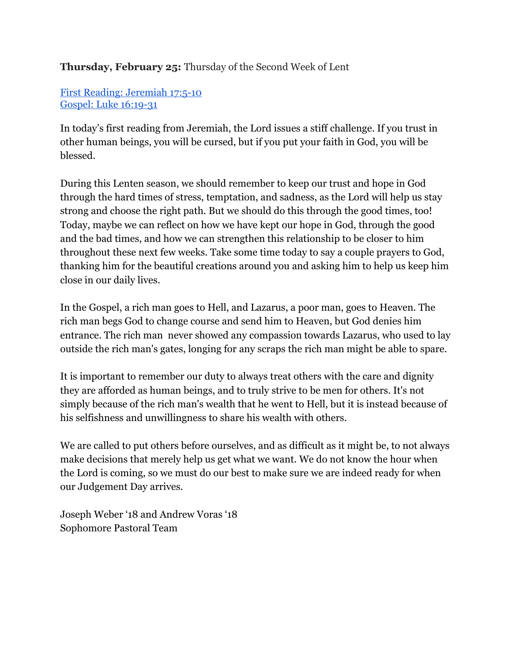# **Thursday, February 25:** Thursday of the Second Week of Lent

First Reading: [Jeremiah](http://www.usccb.org/bible/readings/022516.cfm) 17:510 Gospel: Luke 16:19-31

In today's first reading from Jeremiah, the Lord issues a stiff challenge. If you trust in other human beings, you will be cursed, but if you put your faith in God, you will be blessed.

During this Lenten season, we should remember to keep our trust and hope in God through the hard times of stress, temptation, and sadness, as the Lord will help us stay strong and choose the right path. But we should do this through the good times, too! Today, maybe we can reflect on how we have kept our hope in God, through the good and the bad times, and how we can strengthen this relationship to be closer to him throughout these next few weeks. Take some time today to say a couple prayers to God, thanking him for the beautiful creations around you and asking him to help us keep him close in our daily lives.

In the Gospel, a rich man goes to Hell, and Lazarus, a poor man, goes to Heaven. The rich man begs God to change course and send him to Heaven, but God denies him entrance. The rich man never showed any compassion towards Lazarus, who used to lay outside the rich man's gates, longing for any scraps the rich man might be able to spare.

It is important to remember our duty to always treat others with the care and dignity they are afforded as human beings, and to truly strive to be men for others. It's not simply because of the rich man's wealth that he went to Hell, but it is instead because of his selfishness and unwillingness to share his wealth with others.

We are called to put others before ourselves, and as difficult as it might be, to not always make decisions that merely help us get what we want. We do not know the hour when the Lord is coming, so we must do our best to make sure we are indeed ready for when our Judgement Day arrives.

Joseph Weber '18 and Andrew Voras '18 Sophomore Pastoral Team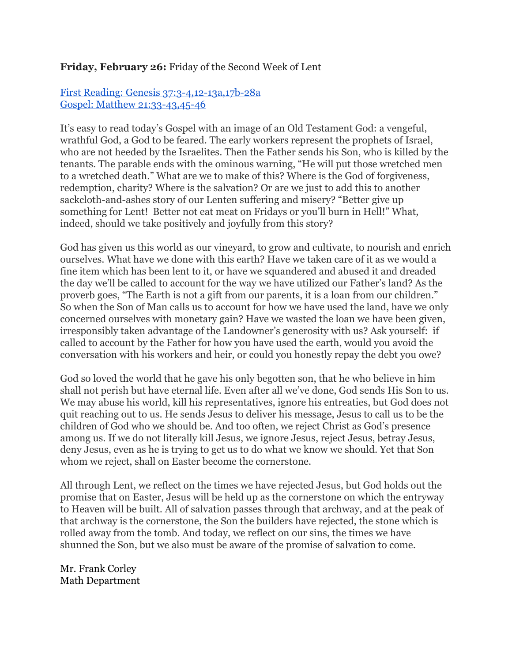## **Friday, February 26:** Friday of the Second Week of Lent

### First Reading: Genesis 37:3-4,12-13a,17b-28a Gospel: Matthew 21:33-43,45-46

It's easy to read today's Gospel with an image of an Old Testament God: a vengeful, wrathful God, a God to be feared. The early workers represent the prophets of Israel, who are not heeded by the Israelites. Then the Father sends his Son, who is killed by the tenants. The parable ends with the ominous warning, "He will put those wretched men to a wretched death." What are we to make of this? Where is the God of forgiveness, redemption, charity? Where is the salvation? Or are we just to add this to another sackcloth-and-ashes story of our Lenten suffering and misery? "Better give up something for Lent! Better not eat meat on Fridays or you'll burn in Hell!" What, indeed, should we take positively and joyfully from this story?

God has given us this world as our vineyard, to grow and cultivate, to nourish and enrich ourselves. What have we done with this earth? Have we taken care of it as we would a fine item which has been lent to it, or have we squandered and abused it and dreaded the day we'll be called to account for the way we have utilized our Father's land? As the proverb goes, "The Earth is not a gift from our parents, it is a loan from our children." So when the Son of Man calls us to account for how we have used the land, have we only concerned ourselves with monetary gain? Have we wasted the loan we have been given, irresponsibly taken advantage of the Landowner's generosity with us? Ask yourself: if called to account by the Father for how you have used the earth, would you avoid the conversation with his workers and heir, or could you honestly repay the debt you owe?

God so loved the world that he gave his only begotten son, that he who believe in him shall not perish but have eternal life. Even after all we've done, God sends His Son to us. We may abuse his world, kill his representatives, ignore his entreaties, but God does not quit reaching out to us. He sends Jesus to deliver his message, Jesus to call us to be the children of God who we should be. And too often, we reject Christ as God's presence among us. If we do not literally kill Jesus, we ignore Jesus, reject Jesus, betray Jesus, deny Jesus, even as he is trying to get us to do what we know we should. Yet that Son whom we reject, shall on Easter become the cornerstone.

All through Lent, we reflect on the times we have rejected Jesus, but God holds out the promise that on Easter, Jesus will be held up as the cornerstone on which the entryway to Heaven will be built. All of salvation passes through that archway, and at the peak of that archway is the cornerstone, the Son the builders have rejected, the stone which is rolled away from the tomb. And today, we reflect on our sins, the times we have shunned the Son, but we also must be aware of the promise of salvation to come.

Mr. Frank Corley Math Department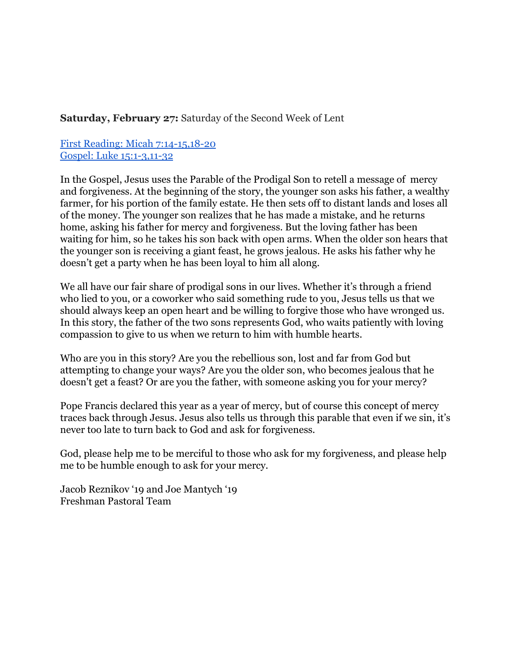### **Saturday, February 27:** Saturday of the Second Week of Lent

### First Reading: Micah  $7:14-15,18-20$ Gospel: Luke 15:1-3,11-32

In the Gospel, Jesus uses the Parable of the Prodigal Son to retell a message of mercy and forgiveness. At the beginning of the story, the younger son asks his father, a wealthy farmer, for his portion of the family estate. He then sets off to distant lands and loses all of the money. The younger son realizes that he has made a mistake, and he returns home, asking his father for mercy and forgiveness. But the loving father has been waiting for him, so he takes his son back with open arms. When the older son hears that the younger son is receiving a giant feast, he grows jealous. He asks his father why he doesn't get a party when he has been loyal to him all along.

We all have our fair share of prodigal sons in our lives. Whether it's through a friend who lied to you, or a coworker who said something rude to you, Jesus tells us that we should always keep an open heart and be willing to forgive those who have wronged us. In this story, the father of the two sons represents God, who waits patiently with loving compassion to give to us when we return to him with humble hearts.

Who are you in this story? Are you the rebellious son, lost and far from God but attempting to change your ways? Are you the older son, who becomes jealous that he doesn't get a feast? Or are you the father, with someone asking you for your mercy?

Pope Francis declared this year as a year of mercy, but of course this concept of mercy traces back through Jesus. Jesus also tells us through this parable that even if we sin, it's never too late to turn back to God and ask for forgiveness.

God, please help me to be merciful to those who ask for my forgiveness, and please help me to be humble enough to ask for your mercy.

Jacob Reznikov '19 and Joe Mantych '19 Freshman Pastoral Team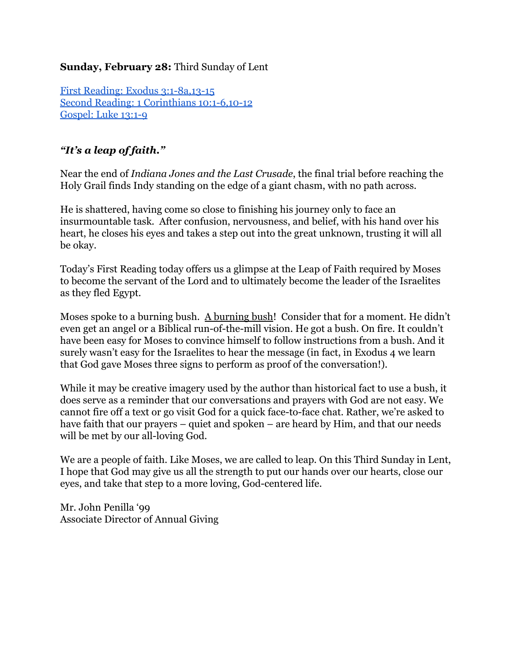## **Sunday, February 28:** Third Sunday of Lent

First Reading: Exodus  $3:1-8a,13-15$ Second Reading: 1 Corinthians 10:1-6,10-12 [Gospel:](http://www.usccb.org/bible/readings/022816.cfm) Luke 13:1-9

# *"It's a leap of faith."*

Near the end of *Indiana Jones and the Last Crusade*, the final trial before reaching the Holy Grail finds Indy standing on the edge of a giant chasm, with no path across.

He is shattered, having come so close to finishing his journey only to face an insurmountable task. After confusion, nervousness, and belief, with his hand over his heart, he closes his eyes and takes a step out into the great unknown, trusting it will all be okay.

Today's First Reading today offers us a glimpse at the Leap of Faith required by Moses to become the servant of the Lord and to ultimately become the leader of the Israelites as they fled Egypt.

Moses spoke to a burning bush. A burning bush! Consider that for a moment. He didn't even get an angel or a Biblical run-of-the-mill vision. He got a bush. On fire. It couldn't have been easy for Moses to convince himself to follow instructions from a bush. And it surely wasn't easy for the Israelites to hear the message (in fact, in Exodus 4 we learn that God gave Moses three signs to perform as proof of the conversation!).

While it may be creative imagery used by the author than historical fact to use a bush, it does serve as a reminder that our conversations and prayers with God are not easy. We cannot fire off a text or go visit God for a quick face-to-face chat. Rather, we're asked to have faith that our prayers – quiet and spoken – are heard by Him, and that our needs will be met by our all-loving God.

We are a people of faith. Like Moses, we are called to leap. On this Third Sunday in Lent, I hope that God may give us all the strength to put our hands over our hearts, close our eyes, and take that step to a more loving, God-centered life.

Mr. John Penilla '99 Associate Director of Annual Giving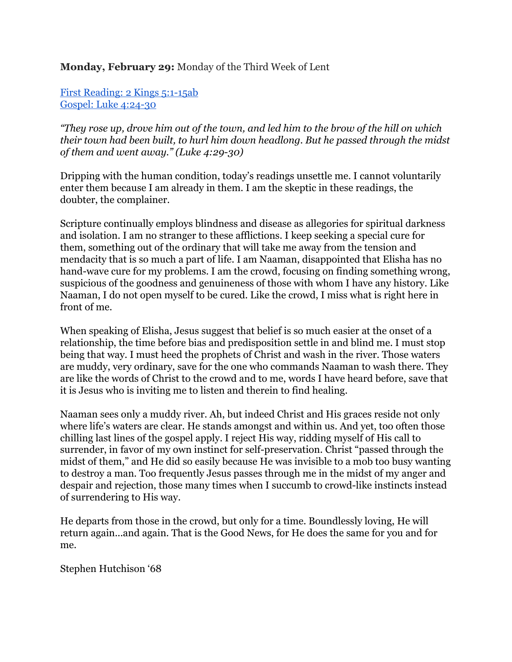### **Monday, February 29:** Monday of the Third Week of Lent

First [Reading:](http://www.usccb.org/bible/readings/022916.cfm)  $2$  Kings  $5:1-15ab$ Gospel: Luke 4:24-30

"They rose up, drove him out of the town, and led him to the brow of the hill on which *their town had been built, to hurl him down headlong. But he passed through the midst of them and went away.*" (Luke 4:29-30)

Dripping with the human condition, today's readings unsettle me. I cannot voluntarily enter them because I am already in them. I am the skeptic in these readings, the doubter, the complainer.

Scripture continually employs blindness and disease as allegories for spiritual darkness and isolation. I am no stranger to these afflictions. I keep seeking a special cure for them, something out of the ordinary that will take me away from the tension and mendacity that is so much a part of life. I am Naaman, disappointed that Elisha has no hand-wave cure for my problems. I am the crowd, focusing on finding something wrong, suspicious of the goodness and genuineness of those with whom I have any history. Like Naaman, I do not open myself to be cured. Like the crowd, I miss what is right here in front of me.

When speaking of Elisha, Jesus suggest that belief is so much easier at the onset of a relationship, the time before bias and predisposition settle in and blind me. I must stop being that way. I must heed the prophets of Christ and wash in the river. Those waters are muddy, very ordinary, save for the one who commands Naaman to wash there. They are like the words of Christ to the crowd and to me, words I have heard before, save that it is Jesus who is inviting me to listen and therein to find healing.

Naaman sees only a muddy river. Ah, but indeed Christ and His graces reside not only where life's waters are clear. He stands amongst and within us. And yet, too often those chilling last lines of the gospel apply. I reject His way, ridding myself of His call to surrender, in favor of my own instinct for self-preservation. Christ "passed through the midst of them," and He did so easily because He was invisible to a mob too busy wanting to destroy a man. Too frequently Jesus passes through me in the midst of my anger and despair and rejection, those many times when I succumb to crowd-like instincts instead of surrendering to His way.

He departs from those in the crowd, but only for a time. Boundlessly loving, He will return again...and again. That is the Good News, for He does the same for you and for me.

Stephen Hutchison '68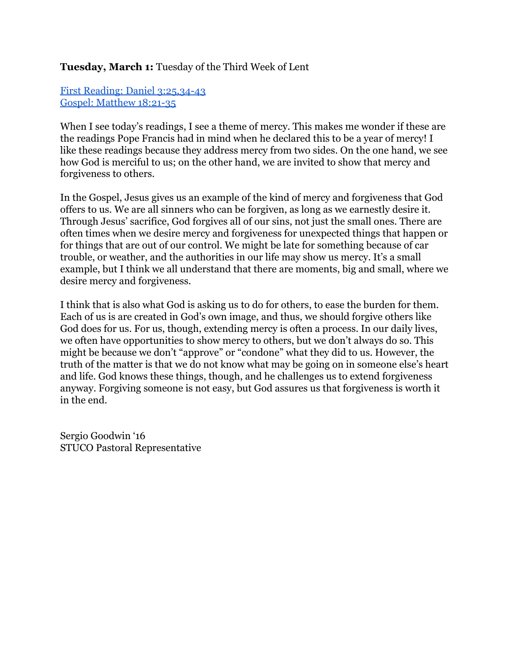### **Tuesday, March 1:** Tuesday of the Third Week of Lent

First Reading: Daniel 3:25,34-43 Gospel: [Matthew](http://www.usccb.org/bible/readings/030116.cfm) 18:21-35

When I see today's readings, I see a theme of mercy. This makes me wonder if these are the readings Pope Francis had in mind when he declared this to be a year of mercy! I like these readings because they address mercy from two sides. On the one hand, we see how God is merciful to us; on the other hand, we are invited to show that mercy and forgiveness to others.

In the Gospel, Jesus gives us an example of the kind of mercy and forgiveness that God offers to us. We are all sinners who can be forgiven, as long as we earnestly desire it. Through Jesus' sacrifice, God forgives all of our sins, not just the small ones. There are often times when we desire mercy and forgiveness for unexpected things that happen or for things that are out of our control. We might be late for something because of car trouble, or weather, and the authorities in our life may show us mercy. It's a small example, but I think we all understand that there are moments, big and small, where we desire mercy and forgiveness.

I think that is also what God is asking us to do for others, to ease the burden for them. Each of us is are created in God's own image, and thus, we should forgive others like God does for us. For us, though, extending mercy is often a process. In our daily lives, we often have opportunities to show mercy to others, but we don't always do so. This might be because we don't "approve" or "condone" what they did to us. However, the truth of the matter is that we do not know what may be going on in someone else's heart and life. God knows these things, though, and he challenges us to extend forgiveness anyway. Forgiving someone is not easy, but God assures us that forgiveness is worth it in the end.

Sergio Goodwin '16 STUCO Pastoral Representative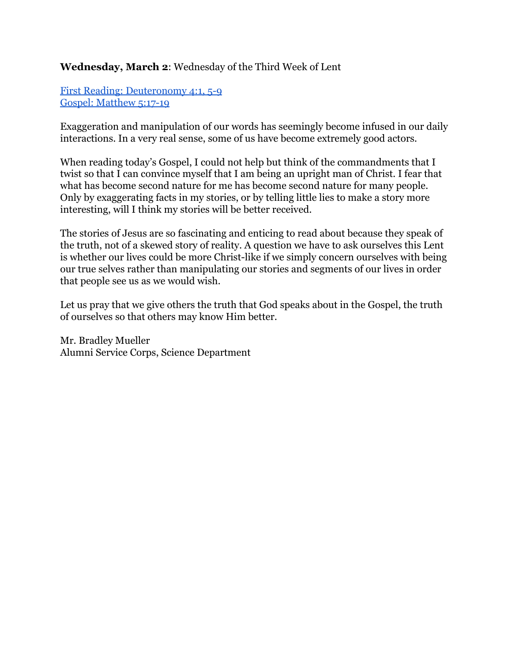## **Wednesday, March 2**: Wednesday of the Third Week of Lent

First Reading: [Deuteronomy](http://www.usccb.org/bible/readings/030216.cfm) 4:1, 5-9 Gospel: [Matthew](http://www.usccb.org/bible/readings/030216.cfm) 5:17-19

Exaggeration and manipulation of our words has seemingly become infused in our daily interactions. In a very real sense, some of us have become extremely good actors.

When reading today's Gospel, I could not help but think of the commandments that I twist so that I can convince myself that I am being an upright man of Christ. I fear that what has become second nature for me has become second nature for many people. Only by exaggerating facts in my stories, or by telling little lies to make a story more interesting, will I think my stories will be better received.

The stories of Jesus are so fascinating and enticing to read about because they speak of the truth, not of a skewed story of reality. A question we have to ask ourselves this Lent is whether our lives could be more Christ-like if we simply concern ourselves with being our true selves rather than manipulating our stories and segments of our lives in order that people see us as we would wish.

Let us pray that we give others the truth that God speaks about in the Gospel, the truth of ourselves so that others may know Him better.

Mr. Bradley Mueller Alumni Service Corps, Science Department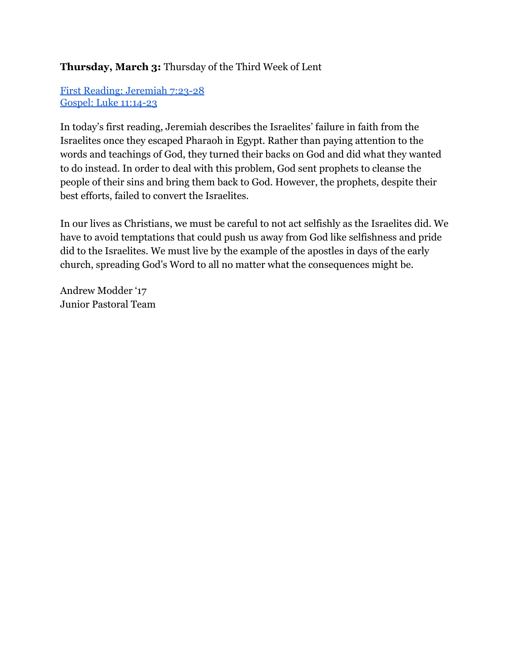# **Thursday, March 3:** Thursday of the Third Week of Lent

First Reading: [Jeremiah](http://www.usccb.org/bible/readings/030316.cfm) 7:23-28 Gospel: Luke 11:14-23

In today's first reading, Jeremiah describes the Israelites' failure in faith from the Israelites once they escaped Pharaoh in Egypt. Rather than paying attention to the words and teachings of God, they turned their backs on God and did what they wanted to do instead. In order to deal with this problem, God sent prophets to cleanse the people of their sins and bring them back to God. However, the prophets, despite their best efforts, failed to convert the Israelites.

In our lives as Christians, we must be careful to not act selfishly as the Israelites did. We have to avoid temptations that could push us away from God like selfishness and pride did to the Israelites. We must live by the example of the apostles in days of the early church, spreading God's Word to all no matter what the consequences might be.

Andrew Modder '17 Junior Pastoral Team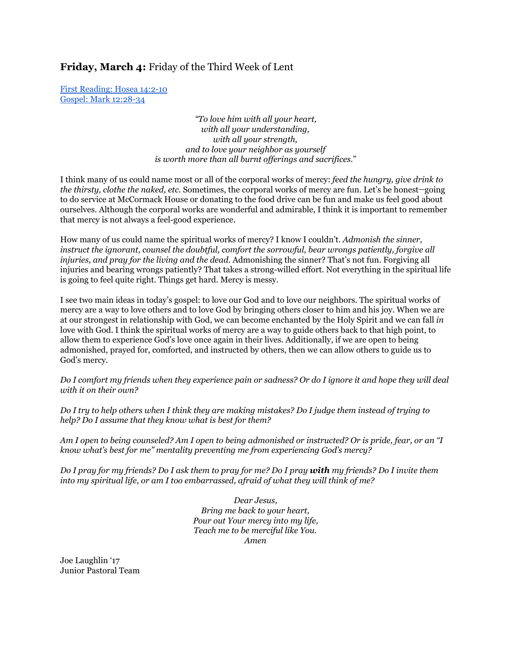**Friday, March 4:** Friday of the Third Week of Lent

First [Reading:](http://www.usccb.org/bible/readings/030416.cfm) Hosea 14:2-10 Gospel: Mark 12:28-34

> *"To love him with all your heart, with all your understanding, with all your strength, and to love your neighbor as yourself is worth more than all burnt of erings and sacrifices.*"

I think many of us could name most or all of the corporal works of mercy: *feed the hungry, give drink to the thirsty, clothe the naked, etc.* Sometimes, the corporal works of mercy are fun. Let's be honest-going to do service at McCormack House or donating to the food drive can be fun and make us feel good about ourselves. Although the corporal works are wonderful and admirable, I think it is important to remember that mercy is not always a feel-good experience.

How many of us could name the spiritual works of mercy? I know I couldn't. *Admonish the sinner, instruct the ignorant, counsel the doubtful, comfort the sorrowful, bear wrongs patiently, forgive all injuries, and pray for the living and the dead*. Admonishing the sinner? That's not fun. Forgiving all injuries and bearing wrongs patiently? That takes a strong-willed effort. Not everything in the spiritual life is going to feel quite right. Things get hard. Mercy is messy.

I see two main ideas in today's gospel: to love our God and to love our neighbors. The spiritual works of mercy are a way to love others and to love God by bringing others closer to him and his joy. When we are at our strongest in relationship with God, we can become enchanted by the Holy Spirit and we can fall *in* love with God. I think the spiritual works of mercy are a way to guide others back to that high point, to allow them to experience God's love once again in their lives. Additionally, if we are open to being admonished, prayed for, comforted, and instructed by others, then we can allow others to guide us to God's mercy.

Do I comfort my friends when they experience pain or sadness? Or do I ignore it and hope they will deal *with it on their own?*

Do I try to help others when I think they are making mistakes? Do I judge them instead of trying to *help? Do I assume that they know what is best for them?*

Am I open to being counseled? Am I open to being admonished or instructed? Or is pride, fear, or an "I *know what's best for me" mentality preventing me from experiencing God's mercy?*

Do I pray for my friends? Do I ask them to pray for me? Do I pray with my friends? Do I invite them *into my spiritual life, or am I too embarrassed, afraid of what they will think of me?*

> *Dear Jesus, Bring me back to your heart, Pour out Your mercy into my life, Teach me to be merciful like You. Amen*

Joe Laughlin '17 Junior Pastoral Team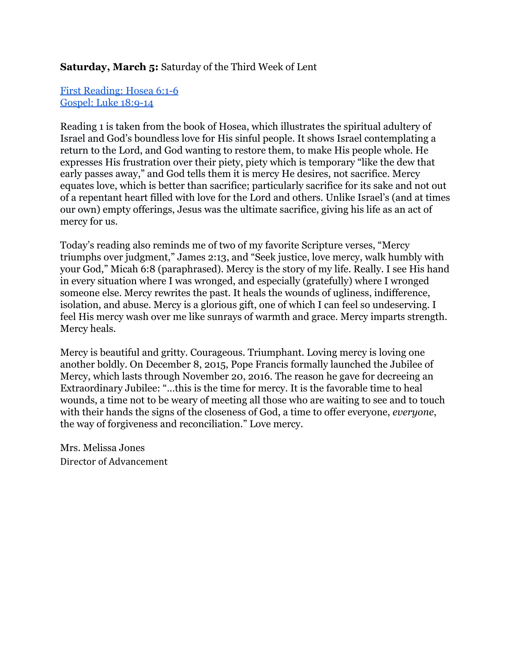## **Saturday, March 5:** Saturday of the Third Week of Lent

### First [Reading:](http://www.usccb.org/bible/readings/030516.cfm) Hosea 6:1-6 [Gospel:](http://www.usccb.org/bible/readings/030516.cfm) Luke 18:9-14

Reading 1 is taken from the book of Hosea, which illustrates the spiritual adultery of Israel and God's boundless love for His sinful people. It shows Israel contemplating a return to the Lord, and God wanting to restore them, to make His people whole. He expresses His frustration over their piety, piety which is temporary "like the dew that early passes away," and God tells them it is mercy He desires, not sacrifice. Mercy equates love, which is better than sacrifice; particularly sacrifice for its sake and not out of a repentant heart filled with love for the Lord and others. Unlike Israel's (and at times our own) empty offerings, Jesus was the ultimate sacrifice, giving his life as an act of mercy for us.

Today's reading also reminds me of two of my favorite Scripture verses, "Mercy triumphs over judgment," James 2:13, and "Seek justice, love mercy, walk humbly with your God," Micah 6:8 (paraphrased). Mercy is the story of my life. Really. I see His hand in every situation where I was wronged, and especially (gratefully) where I wronged someone else. Mercy rewrites the past. It heals the wounds of ugliness, indifference, isolation, and abuse. Mercy is a glorious gift, one of which I can feel so undeserving. I feel His mercy wash over me like sunrays of warmth and grace. Mercy imparts strength. Mercy heals.

Mercy is beautiful and gritty. Courageous. Triumphant. Loving mercy is loving one another boldly. On December 8, 2015, Pope Francis formally launched the Jubilee of Mercy, which lasts through November 20, 2016. The reason he gave for decreeing an Extraordinary Jubilee: "…this is the time for mercy. It is the favorable time to heal wounds, a time not to be weary of meeting all those who are waiting to see and to touch with their hands the signs of the closeness of God, a time to offer everyone, *everyone*, the way of forgiveness and reconciliation." Love mercy.

Mrs. Melissa Jones Director of Advancement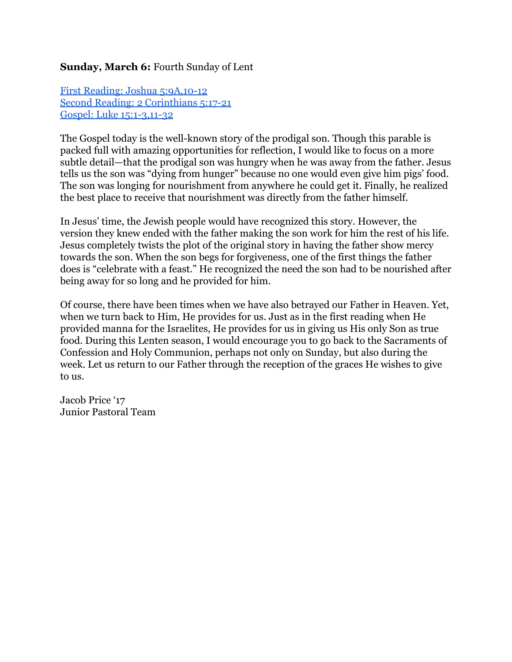### **Sunday, March 6:** Fourth Sunday of Lent

First Reading: Joshua 5:9A,10-12 Second Reading: 2 [Corinthians](http://www.usccb.org/bible/readings/030616.cfm) 5:17-21 Gospel: Luke 15:1-3,11-32

The Gospel today is the well-known story of the prodigal son. Though this parable is packed full with amazing opportunities for reflection, I would like to focus on a more subtle detail—that the prodigal son was hungry when he was away from the father. Jesus tells us the son was "dying from hunger" because no one would even give him pigs' food. The son was longing for nourishment from anywhere he could get it. Finally, he realized the best place to receive that nourishment was directly from the father himself.

In Jesus' time, the Jewish people would have recognized this story. However, the version they knew ended with the father making the son work for him the rest of his life. Jesus completely twists the plot of the original story in having the father show mercy towards the son. When the son begs for forgiveness, one of the first things the father does is "celebrate with a feast." He recognized the need the son had to be nourished after being away for so long and he provided for him.

Of course, there have been times when we have also betrayed our Father in Heaven. Yet, when we turn back to Him, He provides for us. Just as in the first reading when He provided manna for the Israelites, He provides for us in giving us His only Son as true food. During this Lenten season, I would encourage you to go back to the Sacraments of Confession and Holy Communion, perhaps not only on Sunday, but also during the week. Let us return to our Father through the reception of the graces He wishes to give to us.

Jacob Price '17 Junior Pastoral Team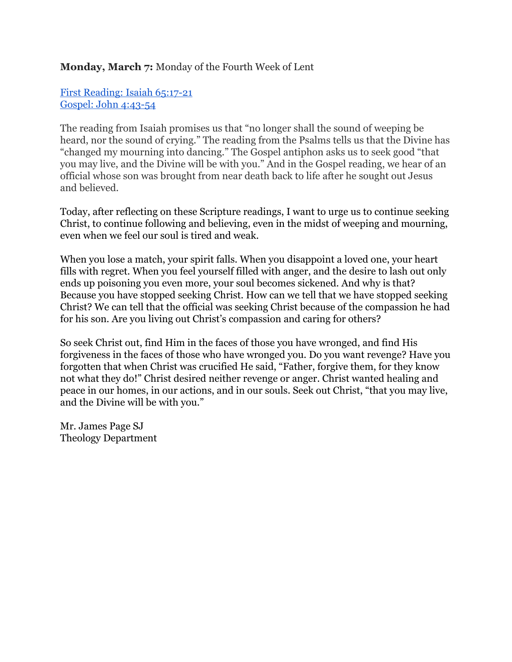## **Monday, March 7:** Monday of the Fourth Week of Lent

First [Reading:](http://www.usccb.org/bible/readings/030716.cfm) Isaiah 65:17-21 Gospel: John 4:43-54

The reading from Isaiah promises us that "no longer shall the sound of weeping be heard, nor the sound of crying." The reading from the Psalms tells us that the Divine has "changed my mourning into dancing." The Gospel antiphon asks us to seek good "that you may live, and the Divine will be with you." And in the Gospel reading, we hear of an official whose son was brought from near death back to life after he sought out Jesus and believed.

Today, after reflecting on these Scripture readings, I want to urge us to continue seeking Christ, to continue following and believing, even in the midst of weeping and mourning, even when we feel our soul is tired and weak.

When you lose a match, your spirit falls. When you disappoint a loved one, your heart fills with regret. When you feel yourself filled with anger, and the desire to lash out only ends up poisoning you even more, your soul becomes sickened. And why is that? Because you have stopped seeking Christ. How can we tell that we have stopped seeking Christ? We can tell that the official was seeking Christ because of the compassion he had for his son. Are you living out Christ's compassion and caring for others?

So seek Christ out, find Him in the faces of those you have wronged, and find His forgiveness in the faces of those who have wronged you. Do you want revenge? Have you forgotten that when Christ was crucified He said, "Father, forgive them, for they know not what they do!" Christ desired neither revenge or anger. Christ wanted healing and peace in our homes, in our actions, and in our souls. Seek out Christ, "that you may live, and the Divine will be with you."

Mr. James Page SJ Theology Department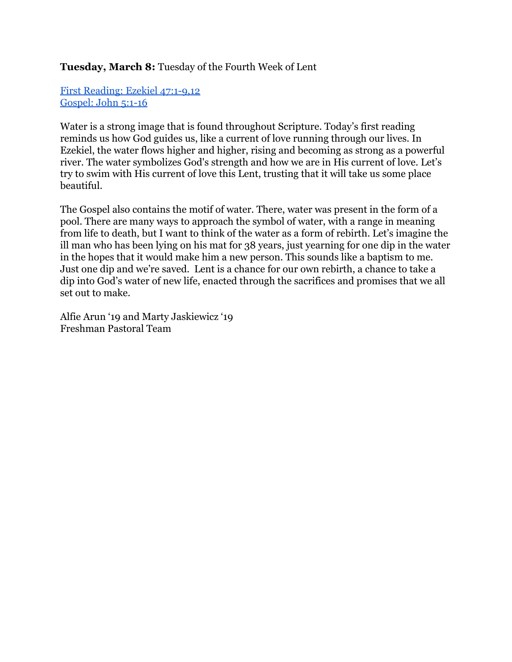### **Tuesday, March 8:** Tuesday of the Fourth Week of Lent

First Reading: Ezekiel 47:1-9,12 [Gospel:](http://www.usccb.org/bible/readings/030816.cfm) John  $5:1-16$ 

Water is a strong image that is found throughout Scripture. Today's first reading reminds us how God guides us, like a current of love running through our lives. In Ezekiel, the water flows higher and higher, rising and becoming as strong as a powerful river. The water symbolizes God's strength and how we are in His current of love. Let's try to swim with His current of love this Lent, trusting that it will take us some place beautiful.

The Gospel also contains the motif of water. There, water was present in the form of a pool. There are many ways to approach the symbol of water, with a range in meaning from life to death, but I want to think of the water as a form of rebirth. Let's imagine the ill man who has been lying on his mat for 38 years, just yearning for one dip in the water in the hopes that it would make him a new person. This sounds like a baptism to me. Just one dip and we're saved. Lent is a chance for our own rebirth, a chance to take a dip into God's water of new life, enacted through the sacrifices and promises that we all set out to make.

Alfie Arun '19 and Marty Jaskiewicz '19 Freshman Pastoral Team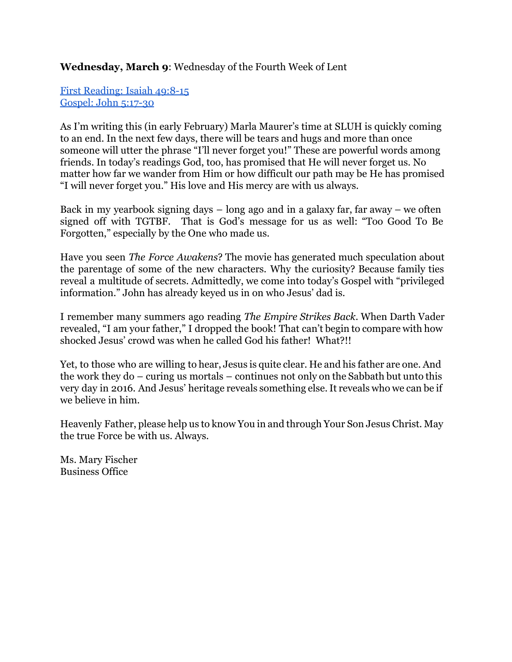### **Wednesday, March 9**: Wednesday of the Fourth Week of Lent

First [Reading:](http://www.usccb.org/bible/readings/030916.cfm) Isaiah 49:8-15 [Gospel:](http://www.usccb.org/bible/readings/030916.cfm) John 5:17-30

As I'm writing this (in early February) Marla Maurer's time at SLUH is quickly coming to an end. In the next few days, there will be tears and hugs and more than once someone will utter the phrase "I'll never forget you!" These are powerful words among friends. In today's readings God, too, has promised that He will never forget us. No matter how far we wander from Him or how difficult our path may be He has promised "I will never forget you." His love and His mercy are with us always.

Back in my yearbook signing days – long ago and in a galaxy far, far away – we often signed off with TGTBF. That is God's message for us as well: "Too Good To Be Forgotten," especially by the One who made us.

Have you seen *The Force Awakens*? The movie has generated much speculation about the parentage of some of the new characters. Why the curiosity? Because family ties reveal a multitude of secrets. Admittedly, we come into today's Gospel with "privileged information." John has already keyed us in on who Jesus' dad is.

I remember many summers ago reading *The Empire Strikes Back*. When Darth Vader revealed, "I am your father," I dropped the book! That can't begin to compare with how shocked Jesus' crowd was when he called God his father! What?!!

Yet, to those who are willing to hear, Jesus is quite clear. He and his father are one. And the work they do – curing us mortals – continues not only on the Sabbath but unto this very day in 2016. And Jesus' heritage reveals something else.It reveals who we can be if we believe in him.

Heavenly Father, please help us to know You in and through Your Son Jesus Christ. May the true Force be with us. Always.

Ms. Mary Fischer Business Office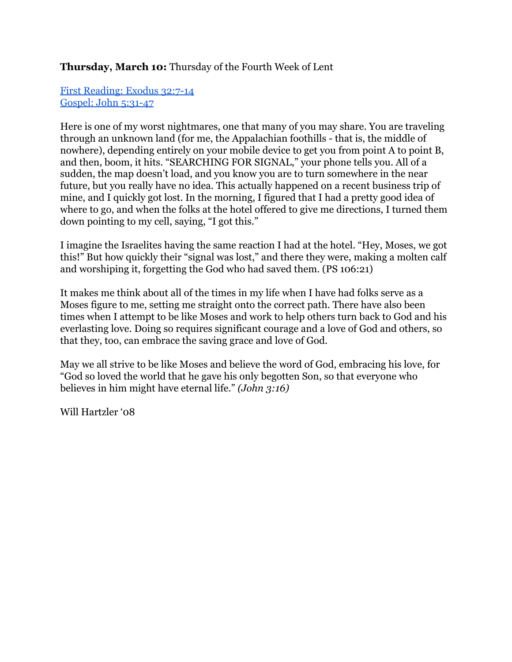## **Thursday, March 10:** Thursday of the Fourth Week of Lent

First [Reading:](http://www.usccb.org/bible/readings/031016.cfm) Exodus 32:7-14 [Gospel:](http://www.usccb.org/bible/readings/031016.cfm) John 5:31-47

Here is one of my worst nightmares, one that many of you may share. You are traveling through an unknown land (for me, the Appalachian foothills - that is, the middle of nowhere), depending entirely on your mobile device to get you from point A to point B, and then, boom, it hits. "SEARCHING FOR SIGNAL," your phone tells you. All of a sudden, the map doesn't load, and you know you are to turn somewhere in the near future, but you really have no idea. This actually happened on a recent business trip of mine, and I quickly got lost. In the morning, I figured that I had a pretty good idea of where to go, and when the folks at the hotel offered to give me directions, I turned them down pointing to my cell, saying, "I got this."

I imagine the Israelites having the same reaction I had at the hotel. "Hey, Moses, we got this!" But how quickly their "signal was lost," and there they were, making a molten calf and worshiping it, forgetting the God who had saved them. (PS 106:21)

It makes me think about all of the times in my life when I have had folks serve as a Moses figure to me, setting me straight onto the correct path. There have also been times when I attempt to be like Moses and work to help others turn back to God and his everlasting love. Doing so requires significant courage and a love of God and others, so that they, too, can embrace the saving grace and love of God.

May we all strive to be like Moses and believe the word of God, embracing his love, for "God so loved the world that he gave his only begotten Son, so that everyone who believes in him might have eternal life." *(John 3:16)*

Will Hartzler '08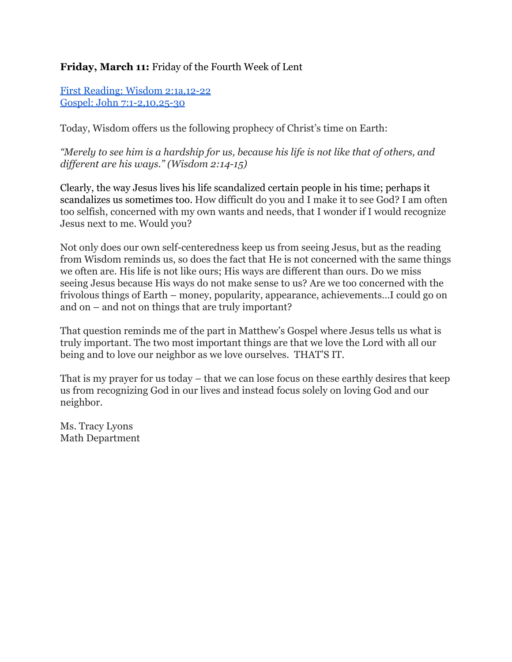# **Friday, March 11:** Friday of the Fourth Week of Lent

First Reading: Wisdom 2:1a, 12-22 Gospel: John 7:1-2,10,25-30

Today, Wisdom offers us the following prophecy of Christ's time on Earth:

*"Merely to see him is a hardship for us, because his life is not like that of others, and dif erent are his ways." (Wisdom 2:1415)*

Clearly, the way Jesus lives his life scandalized certain people in his time; perhaps it scandalizes us sometimes too. How difficult do you and I make it to see God? I am often too selfish, concerned with my own wants and needs, that I wonder if I would recognize Jesus next to me. Would you?

Not only does our own self-centeredness keep us from seeing Jesus, but as the reading from Wisdom reminds us, so does the fact that He is not concerned with the same things we often are. His life is not like ours; His ways are different than ours. Do we miss seeing Jesus because His ways do not make sense to us? Are we too concerned with the frivolous things of Earth – money, popularity, appearance, achievements…I could go on and on – and not on things that are truly important?

That question reminds me of the part in Matthew's Gospel where Jesus tells us what is truly important. The two most important things are that we love the Lord with all our being and to love our neighbor as we love ourselves. THAT'S IT.

That is my prayer for us today – that we can lose focus on these earthly desires that keep us from recognizing God in our lives and instead focus solely on loving God and our neighbor.

Ms. Tracy Lyons Math Department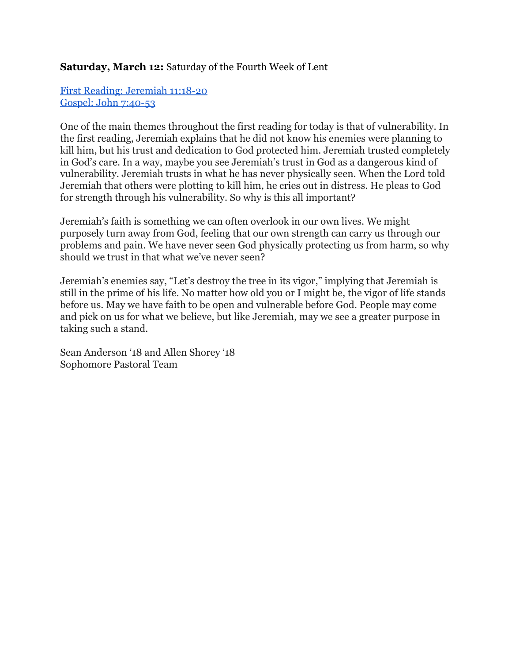## **Saturday, March 12:** Saturday of the Fourth Week of Lent

First Reading: [Jeremiah](http://www.usccb.org/bible/readings/031216.cfm) 11:18-20 Gospel: John 7:40-53

One of the main themes throughout the first reading for today is that of vulnerability. In the first reading, Jeremiah explains that he did not know his enemies were planning to kill him, but his trust and dedication to God protected him. Jeremiah trusted completely in God's care. In a way, maybe you see Jeremiah's trust in God as a dangerous kind of vulnerability. Jeremiah trusts in what he has never physically seen. When the Lord told Jeremiah that others were plotting to kill him, he cries out in distress. He pleas to God for strength through his vulnerability. So why is this all important?

Jeremiah's faith is something we can often overlook in our own lives. We might purposely turn away from God, feeling that our own strength can carry us through our problems and pain. We have never seen God physically protecting us from harm, so why should we trust in that what we've never seen?

Jeremiah's enemies say, "Let's destroy the tree in its vigor," implying that Jeremiah is still in the prime of his life. No matter how old you or I might be, the vigor of life stands before us. May we have faith to be open and vulnerable before God. People may come and pick on us for what we believe, but like Jeremiah, may we see a greater purpose in taking such a stand.

Sean Anderson '18 and Allen Shorey '18 Sophomore Pastoral Team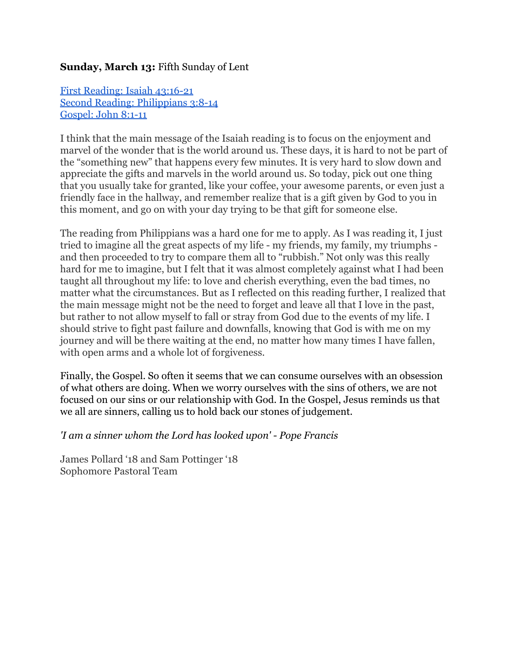## **Sunday, March 13:** Fifth Sunday of Lent

First [Reading:](http://www.usccb.org/bible/readings/031316.cfm) Isaiah 43:16-21 Second Reading: [Philippians](http://www.usccb.org/bible/readings/031316.cfm) 3:8-14 [Gospel:](http://www.usccb.org/bible/readings/031316.cfm) John 8:1-11

I think that the main message of the Isaiah reading is to focus on the enjoyment and marvel of the wonder that is the world around us. These days, it is hard to not be part of the "something new" that happens every few minutes. It is very hard to slow down and appreciate the gifts and marvels in the world around us. So today, pick out one thing that you usually take for granted, like your coffee, your awesome parents, or even just a friendly face in the hallway, and remember realize that is a gift given by God to you in this moment, and go on with your day trying to be that gift for someone else.

The reading from Philippians was a hard one for me to apply. As I was reading it, I just tried to imagine all the great aspects of my life - my friends, my family, my triumphs and then proceeded to try to compare them all to "rubbish." Not only was this really hard for me to imagine, but I felt that it was almost completely against what I had been taught all throughout my life: to love and cherish everything, even the bad times, no matter what the circumstances. But as I reflected on this reading further, I realized that the main message might not be the need to forget and leave all that I love in the past, but rather to not allow myself to fall or stray from God due to the events of my life. I should strive to fight past failure and downfalls, knowing that God is with me on my journey and will be there waiting at the end, no matter how many times I have fallen, with open arms and a whole lot of forgiveness.

Finally, the Gospel. So often it seems that we can consume ourselves with an obsession of what others are doing. When we worry ourselves with the sins of others, we are not focused on our sins or our relationship with God. In the Gospel, Jesus reminds us that we all are sinners, calling us to hold back our stones of judgement.

*'I am a sinner whom the Lord has looked upon' Pope Francis*

James Pollard '18 and Sam Pottinger '18 Sophomore Pastoral Team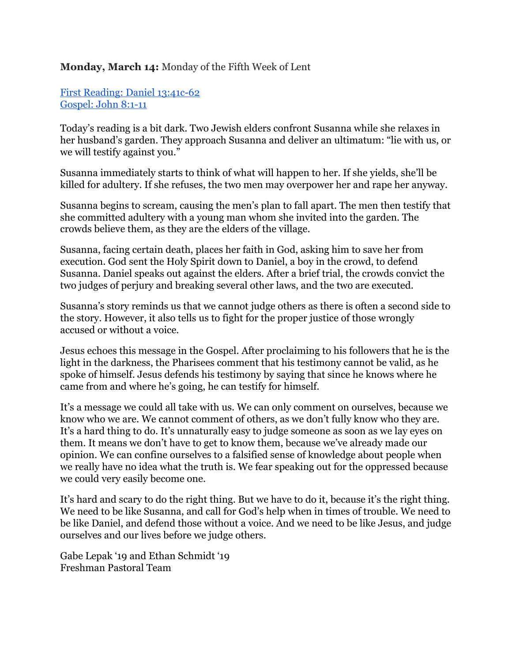## **Monday, March 14:** Monday of the Fifth Week of Lent

First Reading: Daniel 13:41c-62 [Gospel:](http://www.usccb.org/bible/readings/031416.cfm) John 8:1-11

Today's reading is a bit dark. Two Jewish elders confront Susanna while she relaxes in her husband's garden. They approach Susanna and deliver an ultimatum: "lie with us, or we will testify against you."

Susanna immediately starts to think of what will happen to her. If she yields, she'll be killed for adultery. If she refuses, the two men may overpower her and rape her anyway.

Susanna begins to scream, causing the men's plan to fall apart. The men then testify that she committed adultery with a young man whom she invited into the garden. The crowds believe them, as they are the elders of the village.

Susanna, facing certain death, places her faith in God, asking him to save her from execution. God sent the Holy Spirit down to Daniel, a boy in the crowd, to defend Susanna. Daniel speaks out against the elders. After a brief trial, the crowds convict the two judges of perjury and breaking several other laws, and the two are executed.

Susanna's story reminds us that we cannot judge others as there is often a second side to the story. However, it also tells us to fight for the proper justice of those wrongly accused or without a voice.

Jesus echoes this message in the Gospel. After proclaiming to his followers that he is the light in the darkness, the Pharisees comment that his testimony cannot be valid, as he spoke of himself. Jesus defends his testimony by saying that since he knows where he came from and where he's going, he can testify for himself.

It's a message we could all take with us. We can only comment on ourselves, because we know who we are. We cannot comment of others, as we don't fully know who they are. It's a hard thing to do. It's unnaturally easy to judge someone as soon as we lay eyes on them. It means we don't have to get to know them, because we've already made our opinion. We can confine ourselves to a falsified sense of knowledge about people when we really have no idea what the truth is. We fear speaking out for the oppressed because we could very easily become one.

It's hard and scary to do the right thing. But we have to do it, because it's the right thing. We need to be like Susanna, and call for God's help when in times of trouble. We need to be like Daniel, and defend those without a voice. And we need to be like Jesus, and judge ourselves and our lives before we judge others.

Gabe Lepak '19 and Ethan Schmidt '19 Freshman Pastoral Team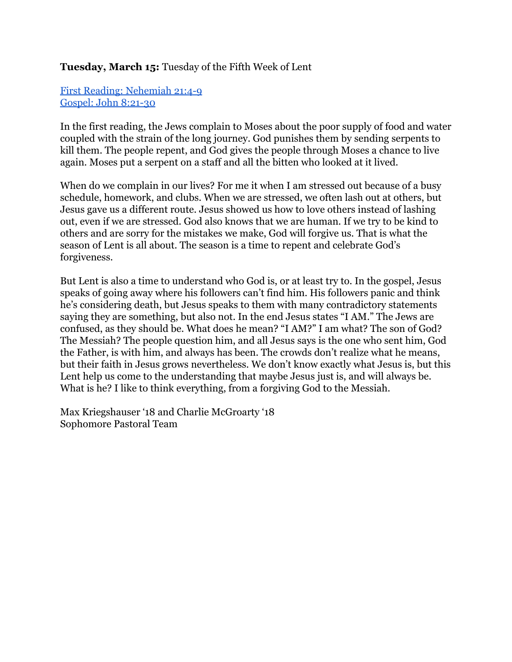## **Tuesday, March 15:** Tuesday of the Fifth Week of Lent

First Reading: [Nehemiah](http://www.usccb.org/bible/readings/031516.cfm) 21:4-9 Gospel: John 8:21-30

In the first reading, the Jews complain to Moses about the poor supply of food and water coupled with the strain of the long journey. God punishes them by sending serpents to kill them. The people repent, and God gives the people through Moses a chance to live again. Moses put a serpent on a staff and all the bitten who looked at it lived.

When do we complain in our lives? For me it when I am stressed out because of a busy schedule, homework, and clubs. When we are stressed, we often lash out at others, but Jesus gave us a different route. Jesus showed us how to love others instead of lashing out, even if we are stressed. God also knows that we are human. If we try to be kind to others and are sorry for the mistakes we make, God will forgive us. That is what the season of Lent is all about. The season is a time to repent and celebrate God's forgiveness.

But Lent is also a time to understand who God is, or at least try to. In the gospel, Jesus speaks of going away where his followers can't find him. His followers panic and think he's considering death, but Jesus speaks to them with many contradictory statements saying they are something, but also not. In the end Jesus states "I AM." The Jews are confused, as they should be. What does he mean? "I AM?" I am what? The son of God? The Messiah? The people question him, and all Jesus says is the one who sent him, God the Father, is with him, and always has been. The crowds don't realize what he means, but their faith in Jesus grows nevertheless. We don't know exactly what Jesus is, but this Lent help us come to the understanding that maybe Jesus just is, and will always be. What is he? I like to think everything, from a forgiving God to the Messiah.

Max Kriegshauser '18 and Charlie McGroarty '18 Sophomore Pastoral Team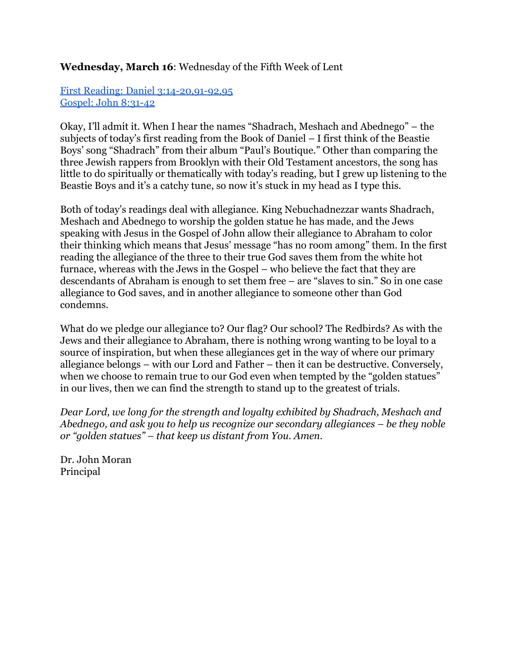### **Wednesday, March 16**: Wednesday of the Fifth Week of Lent

First Reading: Daniel 3:14-20,91-92,95 Gospel: John 8:31-42

Okay, I'll admit it. When I hear the names "Shadrach, Meshach and Abednego" – the subjects of today's first reading from the Book of Daniel – I first think of the Beastie Boys' song "Shadrach" from their album "Paul's Boutique." Other than comparing the three Jewish rappers from Brooklyn with their Old Testament ancestors, the song has little to do spiritually or thematically with today's reading, but I grew up listening to the Beastie Boys and it's a catchy tune, so now it's stuck in my head as I type this.

Both of today's readings deal with allegiance. King Nebuchadnezzar wants Shadrach, Meshach and Abednego to worship the golden statue he has made, and the Jews speaking with Jesus in the Gospel of John allow their allegiance to Abraham to color their thinking which means that Jesus' message "has no room among" them. In the first reading the allegiance of the three to their true God saves them from the white hot furnace, whereas with the Jews in the Gospel – who believe the fact that they are descendants of Abraham is enough to set them free – are "slaves to sin." So in one case allegiance to God saves, and in another allegiance to someone other than God condemns.

What do we pledge our allegiance to? Our flag? Our school? The Redbirds? As with the Jews and their allegiance to Abraham, there is nothing wrong wanting to be loyal to a source of inspiration, but when these allegiances get in the way of where our primary allegiance belongs – with our Lord and Father – then it can be destructive. Conversely, when we choose to remain true to our God even when tempted by the "golden statues" in our lives, then we can find the strength to stand up to the greatest of trials.

*Dear Lord, we long for the strength and loyalty exhibited by Shadrach, Meshach and Abednego, and ask you to help us recognize our secondary allegiances – be they noble or "golden statues" – that keep us distant from You. Amen.*

Dr. John Moran Principal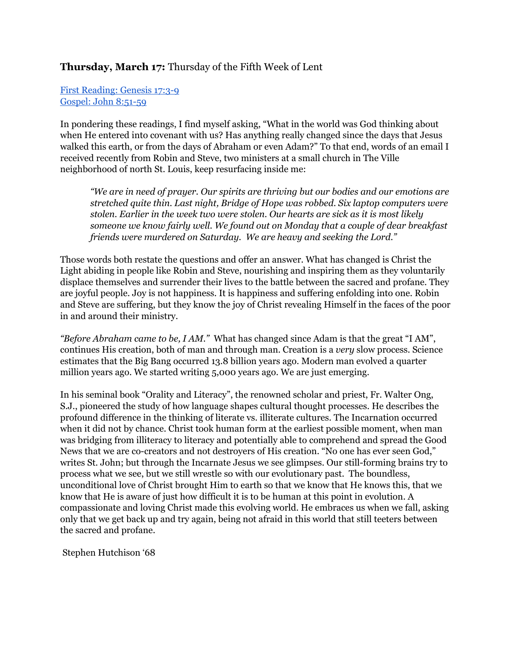### **Thursday, March 17:** Thursday of the Fifth Week of Lent

First [Reading:](http://www.usccb.org/bible/readings/031716.cfm) Genesis 17:3-9 [Gospel:](http://www.usccb.org/bible/readings/031716.cfm) John 8:51-59

In pondering these readings, I find myself asking, "What in the world was God thinking about when He entered into covenant with us? Has anything really changed since the days that Jesus walked this earth, or from the days of Abraham or even Adam?" To that end, words of an email I received recently from Robin and Steve, two ministers at a small church in The Ville neighborhood of north St. Louis, keep resurfacing inside me:

*"We are in need of prayer. Our spirits are thriving but our bodies and our emotions are stretched quite thin. Last night, Bridge of Hope was robbed. Six laptop computers were stolen. Earlier in the week two were stolen. Our hearts are sick as it is most likely someone we know fairly well. We found out on Monday that a couple of dear breakfast friends were murdered on Saturday. We are heavy and seeking the Lord."*

Those words both restate the questions and offer an answer. What has changed is Christ the Light abiding in people like Robin and Steve, nourishing and inspiring them as they voluntarily displace themselves and surrender their lives to the battle between the sacred and profane. They are joyful people. Joy is not happiness. It is happiness and suffering enfolding into one. Robin and Steve are suffering, but they know the joy of Christ revealing Himself in the faces of the poor in and around their ministry.

*"Before Abraham came to be, I AM."* What has changed since Adam is that the great "I AM", continues His creation, both of man and through man. Creation is a *very* slow process. Science estimates that the Big Bang occurred 13.8 billion years ago. Modern man evolved a quarter million years ago. We started writing 5,000 years ago. We are just emerging.

In his seminal book "Orality and Literacy", the renowned scholar and priest, Fr. Walter Ong, S.J., pioneered the study of how language shapes cultural thought processes. He describes the profound difference in the thinking of literate vs. illiterate cultures. The Incarnation occurred when it did not by chance. Christ took human form at the earliest possible moment, when man was bridging from illiteracy to literacy and potentially able to comprehend and spread the Good News that we are co-creators and not destroyers of His creation. "No one has ever seen God," writes St. John; but through the Incarnate Jesus we see glimpses. Our still-forming brains try to process what we see, but we still wrestle so with our evolutionary past. The boundless, unconditional love of Christ brought Him to earth so that we know that He knows this, that we know that He is aware of just how difficult it is to be human at this point in evolution. A compassionate and loving Christ made this evolving world. He embraces us when we fall, asking only that we get back up and try again, being not afraid in this world that still teeters between the sacred and profane.

Stephen Hutchison '68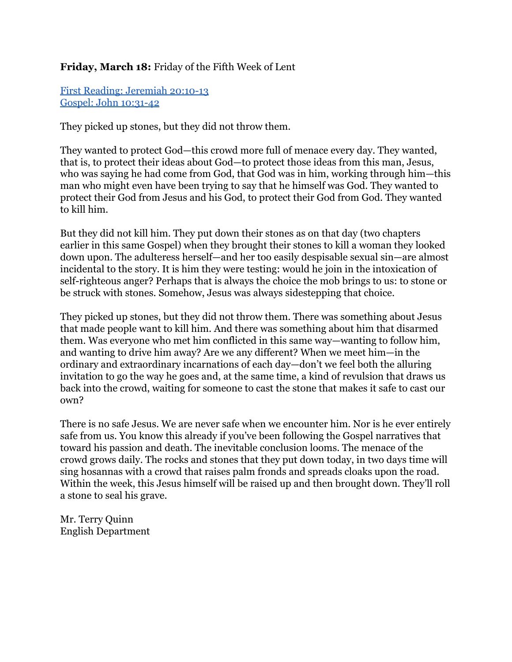# **Friday, March 18:** Friday of the Fifth Week of Lent

First Reading: [Jeremiah](http://www.usccb.org/bible/readings/031816.cfm) 20:10-13 Gospel: John 10:31-42

They picked up stones, but they did not throw them.

They wanted to protect God—this crowd more full of menace every day. They wanted, that is, to protect their ideas about God—to protect those ideas from this man, Jesus, who was saying he had come from God, that God was in him, working through him—this man who might even have been trying to say that he himself was God. They wanted to protect their God from Jesus and his God, to protect their God from God. They wanted to kill him.

But they did not kill him. They put down their stones as on that day (two chapters earlier in this same Gospel) when they brought their stones to kill a woman they looked down upon. The adulteress herself—and her too easily despisable sexual sin—are almost incidental to the story. It is him they were testing: would he join in the intoxication of self-righteous anger? Perhaps that is always the choice the mob brings to us: to stone or be struck with stones. Somehow, Jesus was always sidestepping that choice.

They picked up stones, but they did not throw them. There was something about Jesus that made people want to kill him. And there was something about him that disarmed them. Was everyone who met him conflicted in this same way—wanting to follow him, and wanting to drive him away? Are we any different? When we meet him—in the ordinary and extraordinary incarnations of each day—don't we feel both the alluring invitation to go the way he goes and, at the same time, a kind of revulsion that draws us back into the crowd, waiting for someone to cast the stone that makes it safe to cast our own?

There is no safe Jesus. We are never safe when we encounter him. Nor is he ever entirely safe from us. You know this already if you've been following the Gospel narratives that toward his passion and death. The inevitable conclusion looms. The menace of the crowd grows daily. The rocks and stones that they put down today, in two days time will sing hosannas with a crowd that raises palm fronds and spreads cloaks upon the road. Within the week, this Jesus himself will be raised up and then brought down. They'll roll a stone to seal his grave.

Mr. Terry Quinn English Department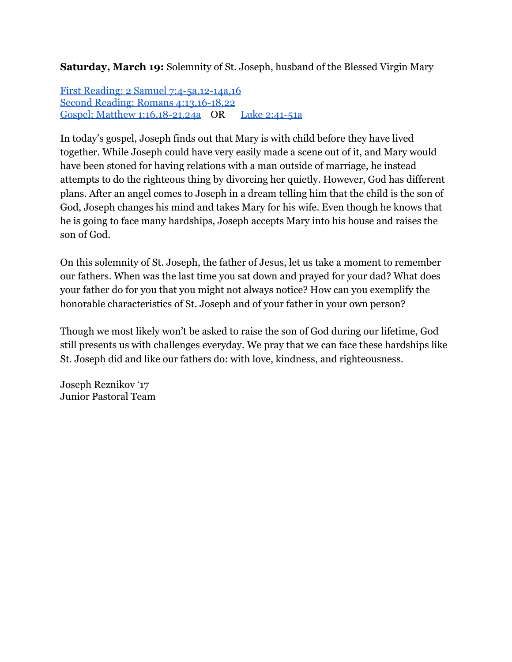**Saturday, March 19:** Solemnity of St. Joseph, husband of the Blessed Virgin Mary

First Reading: 2 Samuel 7:4-5a,12-14a,16 Second Reading: Romans 4:13,16-18,22 Gospel: Matthew 1:16,18-21,24a OR Luke 2:41-51a

In today's gospel, Joseph finds out that Mary is with child before they have lived together. While Joseph could have very easily made a scene out of it, and Mary would have been stoned for having relations with a man outside of marriage, he instead attempts to do the righteous thing by divorcing her quietly. However, God has different plans. After an angel comes to Joseph in a dream telling him that the child is the son of God, Joseph changes his mind and takes Mary for his wife. Even though he knows that he is going to face many hardships, Joseph accepts Mary into his house and raises the son of God.

On this solemnity of St. Joseph, the father of Jesus, let us take a moment to remember our fathers. When was the last time you sat down and prayed for your dad? What does your father do for you that you might not always notice? How can you exemplify the honorable characteristics of St. Joseph and of your father in your own person?

Though we most likely won't be asked to raise the son of God during our lifetime, God still presents us with challenges everyday. We pray that we can face these hardships like St. Joseph did and like our fathers do: with love, kindness, and righteousness.

Joseph Reznikov '17 Junior Pastoral Team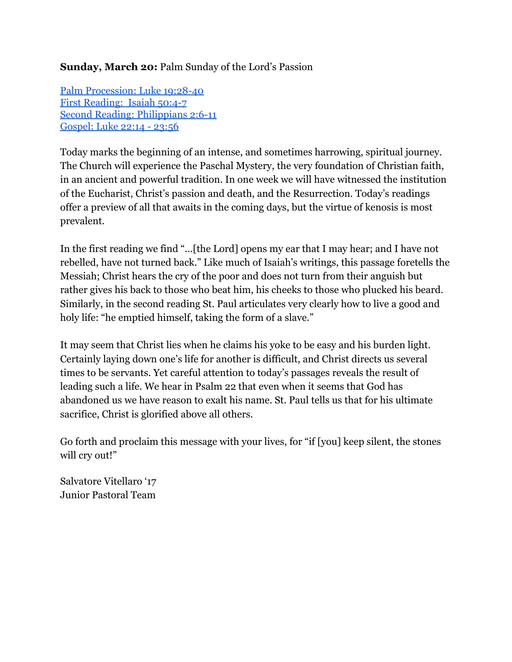# **Sunday, March 20:**Palm Sunday of the Lord's Passion

Palm [Procession:](http://www.usccb.org/bible/readings/032016.cfm) Luke 19:28-40 First [Reading:](http://www.usccb.org/bible/readings/032016.cfm) Isaiah 50:4-7 Second Reading: [Philippians](http://www.usccb.org/bible/readings/032016.cfm) 2:6-11 [Gospel:](http://www.usccb.org/bible/readings/032016.cfm) Luke 22:14 - 23:56

Today marks the beginning of an intense, and sometimes harrowing, spiritual journey. The Church will experience the Paschal Mystery, the very foundation of Christian faith, in an ancient and powerful tradition. In one week we will have witnessed the institution of the Eucharist, Christ's passion and death, and the Resurrection. Today's readings offer a preview of all that awaits in the coming days, but the virtue of kenosis is most prevalent.

In the first reading we find "...[the Lord] opens my ear that I may hear; and I have not rebelled, have not turned back." Like much of Isaiah's writings, this passage foretells the Messiah; Christ hears the cry of the poor and does not turn from their anguish but rather gives his back to those who beat him, his cheeks to those who plucked his beard. Similarly, in the second reading St. Paul articulates very clearly how to live a good and holy life: "he emptied himself, taking the form of a slave."

It may seem that Christ lies when he claims his yoke to be easy and his burden light. Certainly laying down one's life for another is difficult, and Christ directs us several times to be servants. Yet careful attention to today's passages reveals the result of leading such a life. We hear in Psalm 22 that even when it seems that God has abandoned us we have reason to exalt his name. St. Paul tells us that for his ultimate sacrifice, Christ is glorified above all others.

Go forth and proclaim this message with your lives, for "if [you] keep silent, the stones will cry out!"

Salvatore Vitellaro '17 Junior Pastoral Team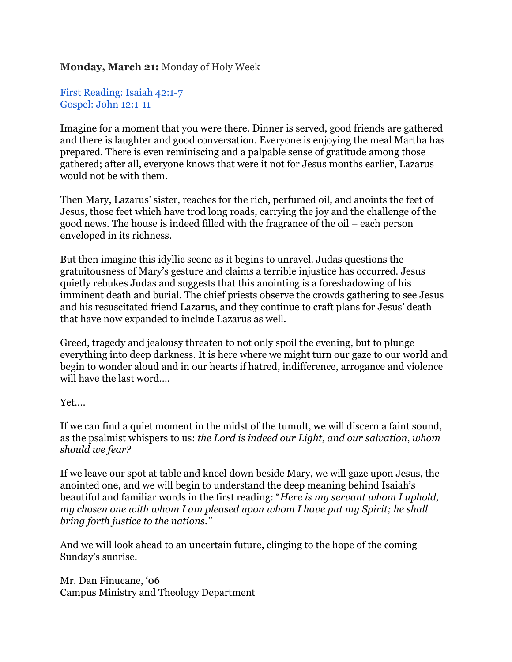## **Monday, March 21:** Monday of Holy Week

First [Reading:](http://www.usccb.org/bible/readings/032116.cfm) Isaiah 42:1-7 [Gospel:](http://www.usccb.org/bible/readings/032116.cfm) John 12:1-11

Imagine for a moment that you were there. Dinner is served, good friends are gathered and there is laughter and good conversation. Everyone is enjoying the meal Martha has prepared. There is even reminiscing and a palpable sense of gratitude among those gathered; after all, everyone knows that were it not for Jesus months earlier, Lazarus would not be with them.

Then Mary, Lazarus' sister, reaches for the rich, perfumed oil, and anoints the feet of Jesus, those feet which have trod long roads, carrying the joy and the challenge of the good news. The house is indeed filled with the fragrance of the oil – each person enveloped in its richness.

But then imagine this idyllic scene as it begins to unravel. Judas questions the gratuitousness of Mary's gesture and claims a terrible injustice has occurred. Jesus quietly rebukes Judas and suggests that this anointing is a foreshadowing of his imminent death and burial. The chief priests observe the crowds gathering to see Jesus and his resuscitated friend Lazarus, and they continue to craft plans for Jesus' death that have now expanded to include Lazarus as well.

Greed, tragedy and jealousy threaten to not only spoil the evening, but to plunge everything into deep darkness. It is here where we might turn our gaze to our world and begin to wonder aloud and in our hearts if hatred, indifference, arrogance and violence will have the last word….

Yet….

If we can find a quiet moment in the midst of the tumult, we will discern a faint sound, as the psalmist whispers to us: *the Lord is indeed our Light, and our salvation*, *whom should we fear?*

If we leave our spot at table and kneel down beside Mary, we will gaze upon Jesus, the anointed one, and we will begin to understand the deep meaning behind Isaiah's beautiful and familiar words in the first reading: "*Here is my servant whom I uphold, my chosen one with whom I am pleased upon whom I have put my Spirit; he shall bring forth justice to the nations."*

And we will look ahead to an uncertain future, clinging to the hope of the coming Sunday's sunrise.

Mr. Dan Finucane, '06 Campus Ministry and Theology Department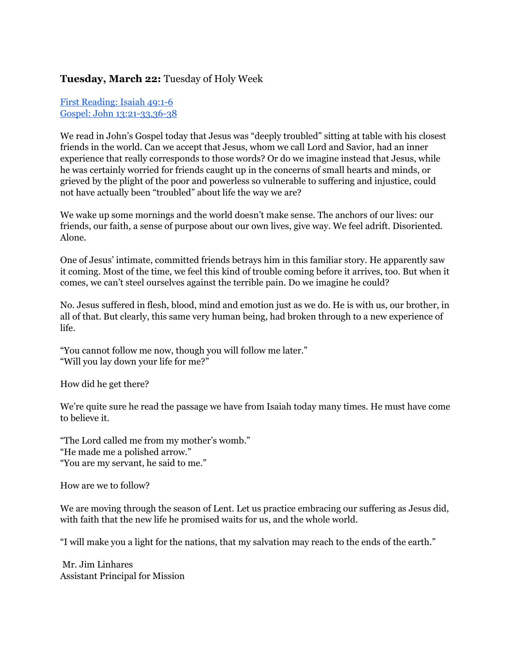### **Tuesday, March 22:** Tuesday of Holy Week

First [Reading:](http://www.usccb.org/bible/readings/032216.cfm) Isaiah 49:16 Gospel: John 13:21-33,36-38

We read in John's Gospel today that Jesus was "deeply troubled" sitting at table with his closest friends in the world. Can we accept that Jesus, whom we call Lord and Savior, had an inner experience that really corresponds to those words? Or do we imagine instead that Jesus, while he was certainly worried for friends caught up in the concerns of small hearts and minds, or grieved by the plight of the poor and powerless so vulnerable to suffering and injustice, could not have actually been "troubled" about life the way we are?

We wake up some mornings and the world doesn't make sense. The anchors of our lives: our friends, our faith, a sense of purpose about our own lives, give way. We feel adrift. Disoriented. Alone.

One of Jesus' intimate, committed friends betrays him in this familiar story. He apparently saw it coming. Most of the time, we feel this kind of trouble coming before it arrives, too. But when it comes, we can't steel ourselves against the terrible pain. Do we imagine he could?

No. Jesus suffered in flesh, blood, mind and emotion just as we do. He is with us, our brother, in all of that. But clearly, this same very human being, had broken through to a new experience of life.

"You cannot follow me now, though you will follow me later." "Will you lay down your life for me?"

How did he get there?

We're quite sure he read the passage we have from Isaiah today many times. He must have come to believe it.

"The Lord called me from my mother's womb." "He made me a polished arrow." "You are my servant, he said to me."

How are we to follow?

We are moving through the season of Lent. Let us practice embracing our suffering as Jesus did, with faith that the new life he promised waits for us, and the whole world.

"I will make you a light for the nations, that my salvation may reach to the ends of the earth."

Mr. Jim Linhares Assistant Principal for Mission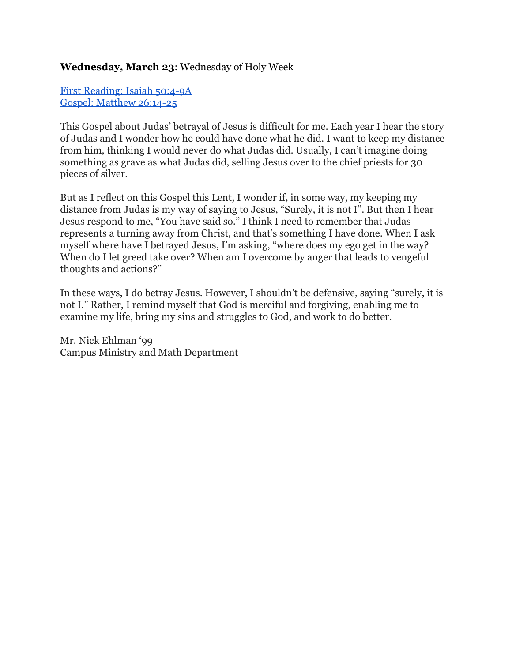## **Wednesday, March 23**: Wednesday of Holy Week

First [Reading:](http://www.usccb.org/bible/readings/032316.cfm) Isaiah 50:49A Gospel: [Matthew](http://www.usccb.org/bible/readings/032316.cfm) 26:14-25

This Gospel about Judas' betrayal of Jesus is difficult for me. Each year I hear the story of Judas and I wonder how he could have done what he did. I want to keep my distance from him, thinking I would never do what Judas did. Usually, I can't imagine doing something as grave as what Judas did, selling Jesus over to the chief priests for 30 pieces of silver.

But as I reflect on this Gospel this Lent, I wonder if, in some way, my keeping my distance from Judas is my way of saying to Jesus, "Surely, it is not I". But then I hear Jesus respond to me, "You have said so." I think I need to remember that Judas represents a turning away from Christ, and that's something I have done. When I ask myself where have I betrayed Jesus, I'm asking, "where does my ego get in the way? When do I let greed take over? When am I overcome by anger that leads to vengeful thoughts and actions?"

In these ways, I do betray Jesus. However, I shouldn't be defensive, saying "surely, it is not I." Rather, I remind myself that God is merciful and forgiving, enabling me to examine my life, bring my sins and struggles to God, and work to do better.

Mr. Nick Ehlman '99 Campus Ministry and Math Department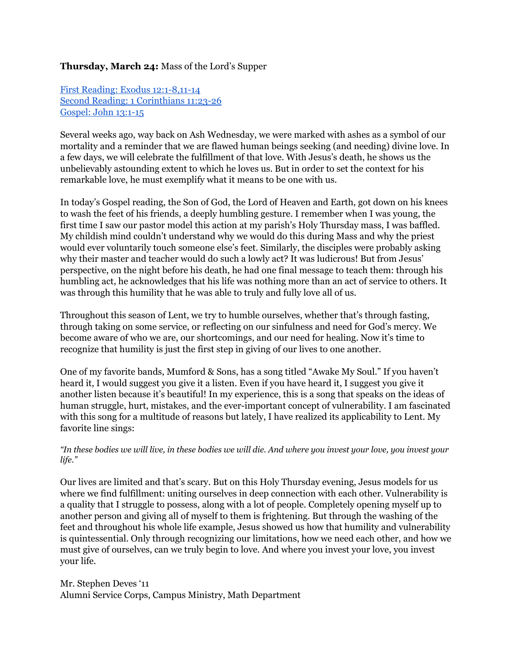#### **Thursday, March 24:** Mass of the Lord's Supper

First Reading: Exodus 12:1-8,11-14 Second Reading: 1 [Corinthians](http://www.usccb.org/bible/readings/032416.cfm) 11:23-26 [Gospel:](http://www.usccb.org/bible/readings/032416.cfm) John 13:1-15

Several weeks ago, way back on Ash Wednesday, we were marked with ashes as a symbol of our mortality and a reminder that we are flawed human beings seeking (and needing) divine love. In a few days, we will celebrate the fulfillment of that love. With Jesus's death, he shows us the unbelievably astounding extent to which he loves us. But in order to set the context for his remarkable love, he must exemplify what it means to be one with us.

In today's Gospel reading, the Son of God, the Lord of Heaven and Earth, got down on his knees to wash the feet of his friends, a deeply humbling gesture. I remember when I was young, the first time I saw our pastor model this action at my parish's Holy Thursday mass, I was baffled. My childish mind couldn't understand why we would do this during Mass and why the priest would ever voluntarily touch someone else's feet. Similarly, the disciples were probably asking why their master and teacher would do such a lowly act? It was ludicrous! But from Jesus' perspective, on the night before his death, he had one final message to teach them: through his humbling act, he acknowledges that his life was nothing more than an act of service to others. It was through this humility that he was able to truly and fully love all of us.

Throughout this season of Lent, we try to humble ourselves, whether that's through fasting, through taking on some service, or reflecting on our sinfulness and need for God's mercy. We become aware of who we are, our shortcomings, and our need for healing. Now it's time to recognize that humility is just the first step in giving of our lives to one another.

One of my favorite bands, Mumford & Sons, has a song titled "Awake My Soul." If you haven't heard it, I would suggest you give it a listen. Even if you have heard it, I suggest you give it another listen because it's beautiful! In my experience, this is a song that speaks on the ideas of human struggle, hurt, mistakes, and the ever-important concept of vulnerability. I am fascinated with this song for a multitude of reasons but lately, I have realized its applicability to Lent. My favorite line sings:

"In these bodies we will live, in these bodies we will die. And where you invest your love, you invest your *life."*

Our lives are limited and that's scary. But on this Holy Thursday evening, Jesus models for us where we find fulfillment: uniting ourselves in deep connection with each other. Vulnerability is a quality that I struggle to possess, along with a lot of people. Completely opening myself up to another person and giving all of myself to them is frightening. But through the washing of the feet and throughout his whole life example, Jesus showed us how that humility and vulnerability is quintessential. Only through recognizing our limitations, how we need each other, and how we must give of ourselves, can we truly begin to love. And where you invest your love, you invest your life.

Mr. Stephen Deves '11 Alumni Service Corps, Campus Ministry, Math Department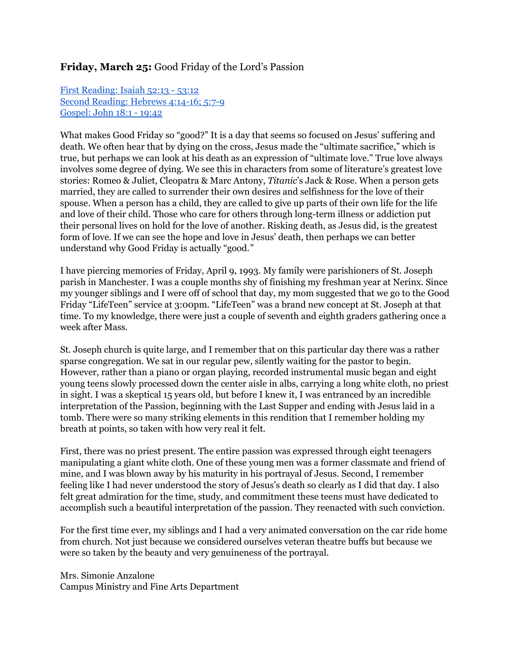### **Friday, March 25:** Good Friday of the Lord's Passion

First [Reading:](http://www.usccb.org/bible/readings/032516.cfm) Isaiah 52:13 53:12 Second [Reading:](http://www.usccb.org/bible/readings/032516.cfm) Hebrews 4:14-16; 5:7-9 [Gospel:](http://www.usccb.org/bible/readings/032516.cfm) John 18:1 19:42

What makes Good Friday so "good?" It is a day that seems so focused on Jesus' suffering and death. We often hear that by dying on the cross, Jesus made the "ultimate sacrifice," which is true, but perhaps we can look at his death as an expression of "ultimate love." True love always involves some degree of dying. We see this in characters from some of literature's greatest love stories: Romeo & Juliet, Cleopatra & Marc Antony, *Titanic*'s Jack & Rose. When a person gets married, they are called to surrender their own desires and selfishness for the love of their spouse. When a person has a child, they are called to give up parts of their own life for the life and love of their child. Those who care for others through long-term illness or addiction put their personal lives on hold for the love of another. Risking death, as Jesus did, is the greatest form of love. If we can see the hope and love in Jesus' death, then perhaps we can better understand why Good Friday is actually "good.*"*

I have piercing memories of Friday, April 9, 1993. My family were parishioners of St. Joseph parish in Manchester. I was a couple months shy of finishing my freshman year at Nerinx. Since my younger siblings and I were off of school that day, my mom suggested that we go to the Good Friday "LifeTeen" service at 3:00pm. "LifeTeen" was a brand new concept at St. Joseph at that time. To my knowledge, there were just a couple of seventh and eighth graders gathering once a week after Mass.

St. Joseph church is quite large, and I remember that on this particular day there was a rather sparse congregation. We sat in our regular pew, silently waiting for the pastor to begin. However, rather than a piano or organ playing, recorded instrumental music began and eight young teens slowly processed down the center aisle in albs, carrying a long white cloth, no priest in sight. I was a skeptical 15 years old, but before I knew it, I was entranced by an incredible interpretation of the Passion, beginning with the Last Supper and ending with Jesus laid in a tomb. There were so many striking elements in this rendition that I remember holding my breath at points, so taken with how very real it felt.

First, there was no priest present. The entire passion was expressed through eight teenagers manipulating a giant white cloth. One of these young men was a former classmate and friend of mine, and I was blown away by his maturity in his portrayal of Jesus. Second, I remember feeling like I had never understood the story of Jesus's death so clearly as I did that day. I also felt great admiration for the time, study, and commitment these teens must have dedicated to accomplish such a beautiful interpretation of the passion. They reenacted with such conviction.

For the first time ever, my siblings and I had a very animated conversation on the car ride home from church. Not just because we considered ourselves veteran theatre buffs but because we were so taken by the beauty and very genuineness of the portrayal.

Mrs. Simonie Anzalone Campus Ministry and Fine Arts Department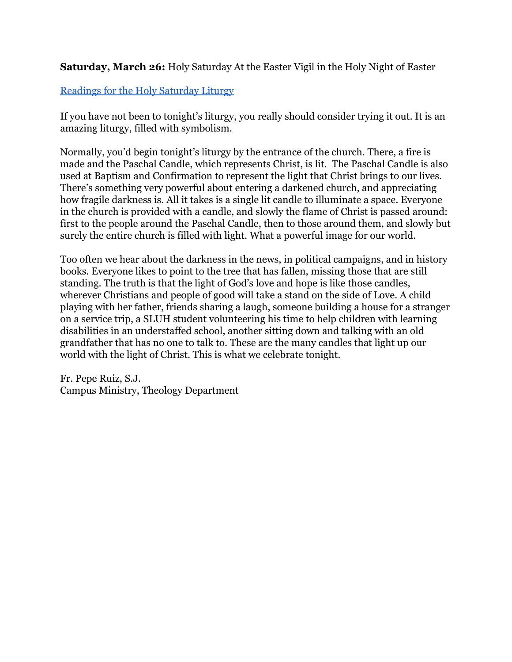**Saturday, March 26:** Holy Saturday At the Easter Vigil in the Holy Night of Easter

# [Readings](http://www.usccb.org/bible/readings/032616.cfm) for the Holy Saturday Liturgy

If you have not been to tonight's liturgy, you really should consider trying it out. It is an amazing liturgy, filled with symbolism.

Normally, you'd begin tonight's liturgy by the entrance of the church. There, a fire is made and the Paschal Candle, which represents Christ, is lit. The Paschal Candle is also used at Baptism and Confirmation to represent the light that Christ brings to our lives. There's something very powerful about entering a darkened church, and appreciating how fragile darkness is. All it takes is a single lit candle to illuminate a space. Everyone in the church is provided with a candle, and slowly the flame of Christ is passed around: first to the people around the Paschal Candle, then to those around them, and slowly but surely the entire church is filled with light. What a powerful image for our world.

Too often we hear about the darkness in the news, in political campaigns, and in history books. Everyone likes to point to the tree that has fallen, missing those that are still standing. The truth is that the light of God's love and hope is like those candles, wherever Christians and people of good will take a stand on the side of Love. A child playing with her father, friends sharing a laugh, someone building a house for a stranger on a service trip, a SLUH student volunteering his time to help children with learning disabilities in an understaffed school, another sitting down and talking with an old grandfather that has no one to talk to. These are the many candles that light up our world with the light of Christ. This is what we celebrate tonight.

Fr. Pepe Ruiz, S.J. Campus Ministry, Theology Department